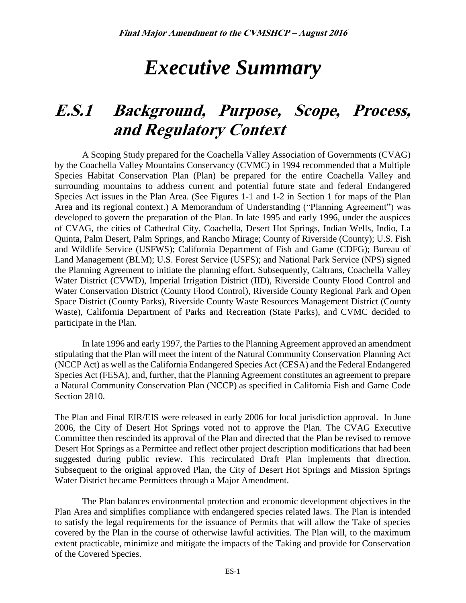# *Executive Summary*

# **E.S.1 Background, Purpose, Scope, Process, and Regulatory Context**

A Scoping Study prepared for the Coachella Valley Association of Governments (CVAG) by the Coachella Valley Mountains Conservancy (CVMC) in 1994 recommended that a Multiple Species Habitat Conservation Plan (Plan) be prepared for the entire Coachella Valley and surrounding mountains to address current and potential future state and federal Endangered Species Act issues in the Plan Area. (See Figures 1-1 and 1-2 in Section 1 for maps of the Plan Area and its regional context.) A Memorandum of Understanding ("Planning Agreement") was developed to govern the preparation of the Plan. In late 1995 and early 1996, under the auspices of CVAG, the cities of Cathedral City, Coachella, Desert Hot Springs, Indian Wells, Indio, La Quinta, Palm Desert, Palm Springs, and Rancho Mirage; County of Riverside (County); U.S. Fish and Wildlife Service (USFWS); California Department of Fish and Game (CDFG); Bureau of Land Management (BLM); U.S. Forest Service (USFS); and National Park Service (NPS) signed the Planning Agreement to initiate the planning effort. Subsequently, Caltrans, Coachella Valley Water District (CVWD), Imperial Irrigation District (IID), Riverside County Flood Control and Water Conservation District (County Flood Control), Riverside County Regional Park and Open Space District (County Parks), Riverside County Waste Resources Management District (County Waste), California Department of Parks and Recreation (State Parks), and CVMC decided to participate in the Plan.

In late 1996 and early 1997, the Parties to the Planning Agreement approved an amendment stipulating that the Plan will meet the intent of the Natural Community Conservation Planning Act (NCCP Act) as well as the California Endangered Species Act (CESA) and the Federal Endangered Species Act (FESA), and, further, that the Planning Agreement constitutes an agreement to prepare a Natural Community Conservation Plan (NCCP) as specified in California Fish and Game Code Section 2810.

The Plan and Final EIR/EIS were released in early 2006 for local jurisdiction approval. In June 2006, the City of Desert Hot Springs voted not to approve the Plan. The CVAG Executive Committee then rescinded its approval of the Plan and directed that the Plan be revised to remove Desert Hot Springs as a Permittee and reflect other project description modifications that had been suggested during public review. This recirculated Draft Plan implements that direction. Subsequent to the original approved Plan, the City of Desert Hot Springs and Mission Springs Water District became Permittees through a Major Amendment.

The Plan balances environmental protection and economic development objectives in the Plan Area and simplifies compliance with endangered species related laws. The Plan is intended to satisfy the legal requirements for the issuance of Permits that will allow the Take of species covered by the Plan in the course of otherwise lawful activities. The Plan will, to the maximum extent practicable, minimize and mitigate the impacts of the Taking and provide for Conservation of the Covered Species.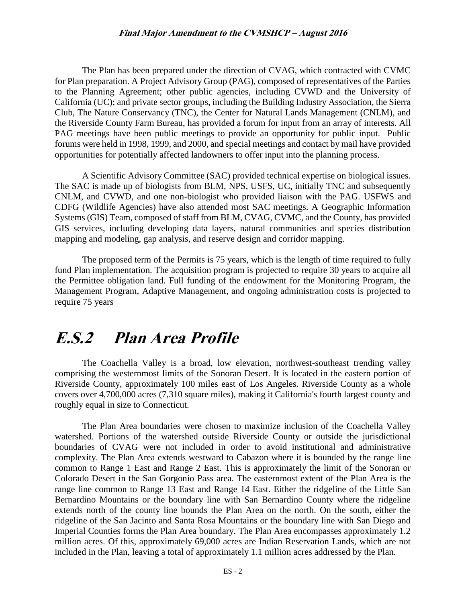The Plan has been prepared under the direction of CVAG, which contracted with CVMC for Plan preparation. A Project Advisory Group (PAG), composed of representatives of the Parties to the Planning Agreement; other public agencies, including CVWD and the University of California (UC); and private sector groups, including the Building Industry Association, the Sierra Club, The Nature Conservancy (TNC), the Center for Natural Lands Management (CNLM), and the Riverside County Farm Bureau, has provided a forum for input from an array of interests. All PAG meetings have been public meetings to provide an opportunity for public input. Public forums were held in 1998, 1999, and 2000, and special meetings and contact by mail have provided opportunities for potentially affected landowners to offer input into the planning process.

A Scientific Advisory Committee (SAC) provided technical expertise on biological issues. The SAC is made up of biologists from BLM, NPS, USFS, UC, initially TNC and subsequently CNLM, and CVWD, and one non-biologist who provided liaison with the PAG. USFWS and CDFG (Wildlife Agencies) have also attended most SAC meetings. A Geographic Information Systems (GIS) Team, composed of staff from BLM, CVAG, CVMC, and the County, has provided GIS services, including developing data layers, natural communities and species distribution mapping and modeling, gap analysis, and reserve design and corridor mapping.

The proposed term of the Permits is 75 years, which is the length of time required to fully fund Plan implementation. The acquisition program is projected to require 30 years to acquire all the Permittee obligation land. Full funding of the endowment for the Monitoring Program, the Management Program, Adaptive Management, and ongoing administration costs is projected to require 75 years

## **E.S.2 Plan Area Profile**

The Coachella Valley is a broad, low elevation, northwest-southeast trending valley comprising the westernmost limits of the Sonoran Desert. It is located in the eastern portion of Riverside County, approximately 100 miles east of Los Angeles. Riverside County as a whole covers over 4,700,000 acres (7,310 square miles), making it California's fourth largest county and roughly equal in size to Connecticut.

The Plan Area boundaries were chosen to maximize inclusion of the Coachella Valley watershed. Portions of the watershed outside Riverside County or outside the jurisdictional boundaries of CVAG were not included in order to avoid institutional and administrative complexity. The Plan Area extends westward to Cabazon where it is bounded by the range line common to Range 1 East and Range 2 East. This is approximately the limit of the Sonoran or Colorado Desert in the San Gorgonio Pass area. The easternmost extent of the Plan Area is the range line common to Range 13 East and Range 14 East. Either the ridgeline of the Little San Bernardino Mountains or the boundary line with San Bernardino County where the ridgeline extends north of the county line bounds the Plan Area on the north. On the south, either the ridgeline of the San Jacinto and Santa Rosa Mountains or the boundary line with San Diego and Imperial Counties forms the Plan Area boundary. The Plan Area encompasses approximately 1.2 million acres. Of this, approximately 69,000 acres are Indian Reservation Lands, which are not included in the Plan, leaving a total of approximately 1.1 million acres addressed by the Plan.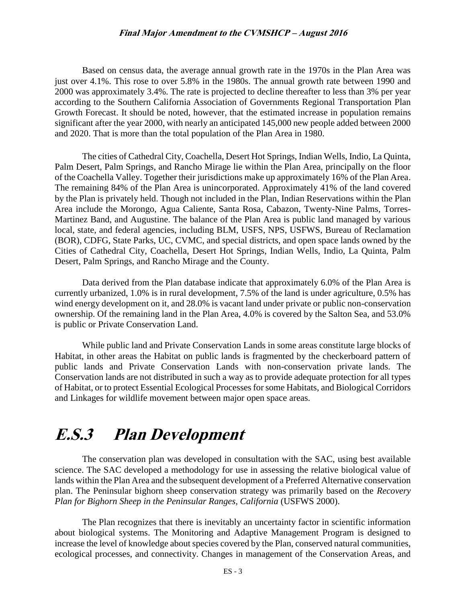Based on census data, the average annual growth rate in the 1970s in the Plan Area was just over 4.1%. This rose to over 5.8% in the 1980s. The annual growth rate between 1990 and 2000 was approximately 3.4%. The rate is projected to decline thereafter to less than 3% per year according to the Southern California Association of Governments Regional Transportation Plan Growth Forecast. It should be noted, however, that the estimated increase in population remains significant after the year 2000, with nearly an anticipated 145,000 new people added between 2000 and 2020. That is more than the total population of the Plan Area in 1980.

The cities of Cathedral City, Coachella, Desert Hot Springs, Indian Wells, Indio, La Quinta, Palm Desert, Palm Springs, and Rancho Mirage lie within the Plan Area, principally on the floor of the Coachella Valley. Together their jurisdictions make up approximately 16% of the Plan Area. The remaining 84% of the Plan Area is unincorporated. Approximately 41% of the land covered by the Plan is privately held. Though not included in the Plan, Indian Reservations within the Plan Area include the Morongo, Agua Caliente, Santa Rosa, Cabazon, Twenty-Nine Palms, Torres-Martinez Band, and Augustine. The balance of the Plan Area is public land managed by various local, state, and federal agencies, including BLM, USFS, NPS, USFWS, Bureau of Reclamation (BOR), CDFG, State Parks, UC, CVMC, and special districts, and open space lands owned by the Cities of Cathedral City, Coachella, Desert Hot Springs, Indian Wells, Indio, La Quinta, Palm Desert, Palm Springs, and Rancho Mirage and the County.

Data derived from the Plan database indicate that approximately 6.0% of the Plan Area is currently urbanized, 1.0% is in rural development, 7.5% of the land is under agriculture, 0.5% has wind energy development on it, and 28.0% is vacant land under private or public non-conservation ownership. Of the remaining land in the Plan Area, 4.0% is covered by the Salton Sea, and 53.0% is public or Private Conservation Land.

While public land and Private Conservation Lands in some areas constitute large blocks of Habitat, in other areas the Habitat on public lands is fragmented by the checkerboard pattern of public lands and Private Conservation Lands with non-conservation private lands. The Conservation lands are not distributed in such a way as to provide adequate protection for all types of Habitat, or to protect Essential Ecological Processes for some Habitats, and Biological Corridors and Linkages for wildlife movement between major open space areas.

## **E.S.3 Plan Development**

The conservation plan was developed in consultation with the SAC, using best available science. The SAC developed a methodology for use in assessing the relative biological value of lands within the Plan Area and the subsequent development of a Preferred Alternative conservation plan. The Peninsular bighorn sheep conservation strategy was primarily based on the *Recovery Plan for Bighorn Sheep in the Peninsular Ranges, California* (USFWS 2000).

The Plan recognizes that there is inevitably an uncertainty factor in scientific information about biological systems. The Monitoring and Adaptive Management Program is designed to increase the level of knowledge about species covered by the Plan, conserved natural communities, ecological processes, and connectivity. Changes in management of the Conservation Areas, and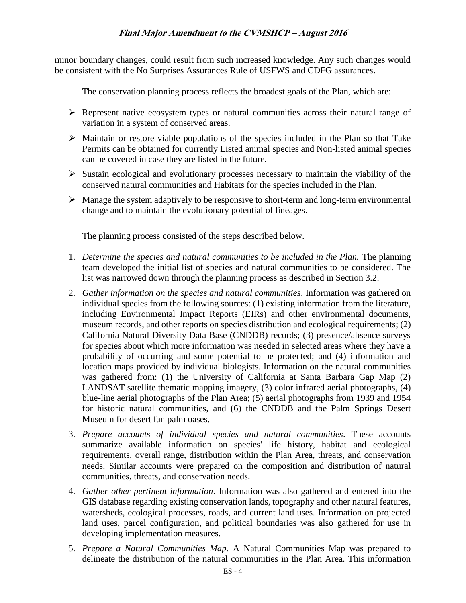minor boundary changes, could result from such increased knowledge. Any such changes would be consistent with the No Surprises Assurances Rule of USFWS and CDFG assurances.

The conservation planning process reflects the broadest goals of the Plan, which are:

- $\triangleright$  Represent native ecosystem types or natural communities across their natural range of variation in a system of conserved areas.
- $\triangleright$  Maintain or restore viable populations of the species included in the Plan so that Take Permits can be obtained for currently Listed animal species and Non-listed animal species can be covered in case they are listed in the future.
- $\triangleright$  Sustain ecological and evolutionary processes necessary to maintain the viability of the conserved natural communities and Habitats for the species included in the Plan.
- $\triangleright$  Manage the system adaptively to be responsive to short-term and long-term environmental change and to maintain the evolutionary potential of lineages.

The planning process consisted of the steps described below.

- 1. *Determine the species and natural communities to be included in the Plan.* The planning team developed the initial list of species and natural communities to be considered. The list was narrowed down through the planning process as described in Section 3.2.
- 2. *Gather information on the species and natural communities*. Information was gathered on individual species from the following sources: (1) existing information from the literature, including Environmental Impact Reports (EIRs) and other environmental documents, museum records, and other reports on species distribution and ecological requirements; (2) California Natural Diversity Data Base (CNDDB) records; (3) presence/absence surveys for species about which more information was needed in selected areas where they have a probability of occurring and some potential to be protected; and (4) information and location maps provided by individual biologists. Information on the natural communities was gathered from: (1) the University of California at Santa Barbara Gap Map (2) LANDSAT satellite thematic mapping imagery, (3) color infrared aerial photographs, (4) blue-line aerial photographs of the Plan Area; (5) aerial photographs from 1939 and 1954 for historic natural communities, and (6) the CNDDB and the Palm Springs Desert Museum for desert fan palm oases.
- 3. *Prepare accounts of individual species and natural communities*. These accounts summarize available information on species' life history, habitat and ecological requirements, overall range, distribution within the Plan Area, threats, and conservation needs. Similar accounts were prepared on the composition and distribution of natural communities, threats, and conservation needs.
- 4. *Gather other pertinent information*. Information was also gathered and entered into the GIS database regarding existing conservation lands, topography and other natural features, watersheds, ecological processes, roads, and current land uses. Information on projected land uses, parcel configuration, and political boundaries was also gathered for use in developing implementation measures.
- 5. *Prepare a Natural Communities Map.* A Natural Communities Map was prepared to delineate the distribution of the natural communities in the Plan Area. This information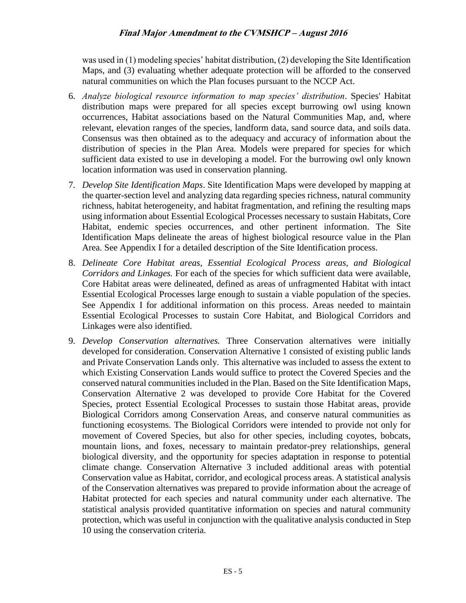was used in (1) modeling species' habitat distribution, (2) developing the Site Identification Maps, and (3) evaluating whether adequate protection will be afforded to the conserved natural communities on which the Plan focuses pursuant to the NCCP Act.

- 6. *Analyze biological resource information to map species' distribution*. Species' Habitat distribution maps were prepared for all species except burrowing owl using known occurrences, Habitat associations based on the Natural Communities Map, and, where relevant, elevation ranges of the species, landform data, sand source data, and soils data. Consensus was then obtained as to the adequacy and accuracy of information about the distribution of species in the Plan Area. Models were prepared for species for which sufficient data existed to use in developing a model. For the burrowing owl only known location information was used in conservation planning.
- 7. *Develop Site Identification Maps*. Site Identification Maps were developed by mapping at the quarter-section level and analyzing data regarding species richness, natural community richness, habitat heterogeneity, and habitat fragmentation, and refining the resulting maps using information about Essential Ecological Processes necessary to sustain Habitats, Core Habitat, endemic species occurrences, and other pertinent information. The Site Identification Maps delineate the areas of highest biological resource value in the Plan Area. See Appendix I for a detailed description of the Site Identification process.
- 8. *Delineate Core Habitat areas, Essential Ecological Process areas, and Biological Corridors and Linkages.* For each of the species for which sufficient data were available, Core Habitat areas were delineated, defined as areas of unfragmented Habitat with intact Essential Ecological Processes large enough to sustain a viable population of the species. See Appendix I for additional information on this process. Areas needed to maintain Essential Ecological Processes to sustain Core Habitat, and Biological Corridors and Linkages were also identified.
- 9. *Develop Conservation alternatives.* Three Conservation alternatives were initially developed for consideration. Conservation Alternative 1 consisted of existing public lands and Private Conservation Lands only. This alternative was included to assess the extent to which Existing Conservation Lands would suffice to protect the Covered Species and the conserved natural communities included in the Plan. Based on the Site Identification Maps, Conservation Alternative 2 was developed to provide Core Habitat for the Covered Species, protect Essential Ecological Processes to sustain those Habitat areas, provide Biological Corridors among Conservation Areas, and conserve natural communities as functioning ecosystems. The Biological Corridors were intended to provide not only for movement of Covered Species, but also for other species, including coyotes, bobcats, mountain lions, and foxes, necessary to maintain predator-prey relationships, general biological diversity, and the opportunity for species adaptation in response to potential climate change. Conservation Alternative 3 included additional areas with potential Conservation value as Habitat, corridor, and ecological process areas. A statistical analysis of the Conservation alternatives was prepared to provide information about the acreage of Habitat protected for each species and natural community under each alternative. The statistical analysis provided quantitative information on species and natural community protection, which was useful in conjunction with the qualitative analysis conducted in Step 10 using the conservation criteria.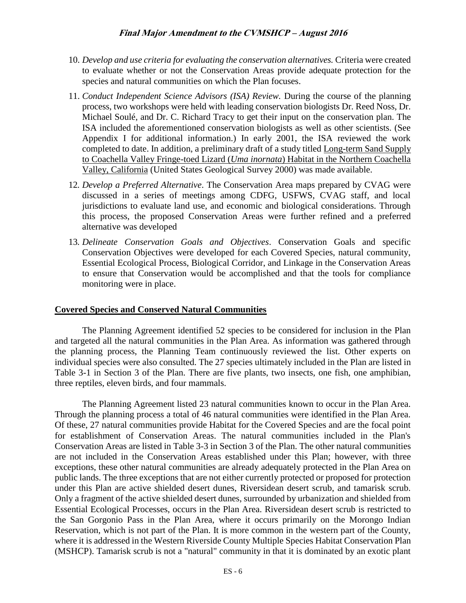- 10. *Develop and use criteria for evaluating the conservation alternatives.* Criteria were created to evaluate whether or not the Conservation Areas provide adequate protection for the species and natural communities on which the Plan focuses.
- 11. *Conduct Independent Science Advisors (ISA) Review.* During the course of the planning process, two workshops were held with leading conservation biologists Dr. Reed Noss, Dr. Michael Soulé, and Dr. C. Richard Tracy to get their input on the conservation plan. The ISA included the aforementioned conservation biologists as well as other scientists. (See Appendix I for additional information.) In early 2001, the ISA reviewed the work completed to date. In addition, a preliminary draft of a study titled Long-term Sand Supply to Coachella Valley Fringe-toed Lizard (*Uma inornata*) Habitat in the Northern Coachella Valley, California (United States Geological Survey 2000) was made available.
- 12*. Develop a Preferred Alternative*. The Conservation Area maps prepared by CVAG were discussed in a series of meetings among CDFG, USFWS, CVAG staff, and local jurisdictions to evaluate land use, and economic and biological considerations. Through this process, the proposed Conservation Areas were further refined and a preferred alternative was developed
- 13*. Delineate Conservation Goals and Objectives*. Conservation Goals and specific Conservation Objectives were developed for each Covered Species, natural community, Essential Ecological Process, Biological Corridor, and Linkage in the Conservation Areas to ensure that Conservation would be accomplished and that the tools for compliance monitoring were in place.

#### **Covered Species and Conserved Natural Communities**

The Planning Agreement identified 52 species to be considered for inclusion in the Plan and targeted all the natural communities in the Plan Area. As information was gathered through the planning process, the Planning Team continuously reviewed the list. Other experts on individual species were also consulted. The 27 species ultimately included in the Plan are listed in Table 3-1 in Section 3 of the Plan. There are five plants, two insects, one fish, one amphibian, three reptiles, eleven birds, and four mammals.

The Planning Agreement listed 23 natural communities known to occur in the Plan Area. Through the planning process a total of 46 natural communities were identified in the Plan Area. Of these, 27 natural communities provide Habitat for the Covered Species and are the focal point for establishment of Conservation Areas. The natural communities included in the Plan's Conservation Areas are listed in Table 3-3 in Section 3 of the Plan. The other natural communities are not included in the Conservation Areas established under this Plan; however, with three exceptions, these other natural communities are already adequately protected in the Plan Area on public lands. The three exceptions that are not either currently protected or proposed for protection under this Plan are active shielded desert dunes, Riversidean desert scrub, and tamarisk scrub. Only a fragment of the active shielded desert dunes, surrounded by urbanization and shielded from Essential Ecological Processes, occurs in the Plan Area. Riversidean desert scrub is restricted to the San Gorgonio Pass in the Plan Area, where it occurs primarily on the Morongo Indian Reservation, which is not part of the Plan. It is more common in the western part of the County, where it is addressed in the Western Riverside County Multiple Species Habitat Conservation Plan (MSHCP). Tamarisk scrub is not a "natural" community in that it is dominated by an exotic plant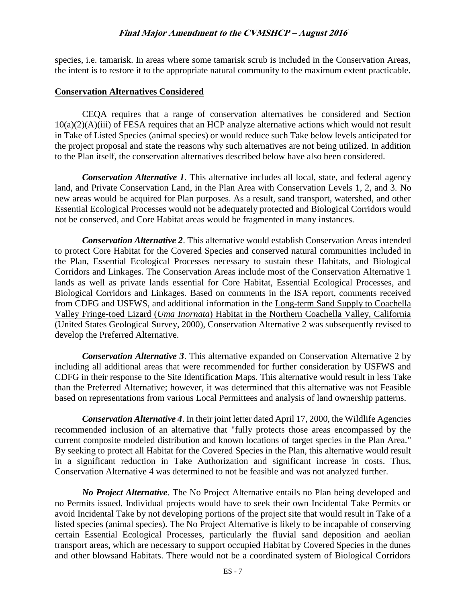species, i.e. tamarisk. In areas where some tamarisk scrub is included in the Conservation Areas, the intent is to restore it to the appropriate natural community to the maximum extent practicable.

#### **Conservation Alternatives Considered**

CEQA requires that a range of conservation alternatives be considered and Section 10(a)(2)(A)(iii) of FESA requires that an HCP analyze alternative actions which would not result in Take of Listed Species (animal species) or would reduce such Take below levels anticipated for the project proposal and state the reasons why such alternatives are not being utilized. In addition to the Plan itself, the conservation alternatives described below have also been considered.

*Conservation Alternative 1.* This alternative includes all local, state, and federal agency land, and Private Conservation Land, in the Plan Area with Conservation Levels 1, 2, and 3. No new areas would be acquired for Plan purposes. As a result, sand transport, watershed, and other Essential Ecological Processes would not be adequately protected and Biological Corridors would not be conserved, and Core Habitat areas would be fragmented in many instances.

*Conservation Alternative 2*. This alternative would establish Conservation Areas intended to protect Core Habitat for the Covered Species and conserved natural communities included in the Plan, Essential Ecological Processes necessary to sustain these Habitats, and Biological Corridors and Linkages. The Conservation Areas include most of the Conservation Alternative 1 lands as well as private lands essential for Core Habitat, Essential Ecological Processes, and Biological Corridors and Linkages. Based on comments in the ISA report, comments received from CDFG and USFWS, and additional information in the Long-term Sand Supply to Coachella Valley Fringe-toed Lizard (*Uma Inornata*) Habitat in the Northern Coachella Valley, California (United States Geological Survey, 2000), Conservation Alternative 2 was subsequently revised to develop the Preferred Alternative.

*Conservation Alternative 3*. This alternative expanded on Conservation Alternative 2 by including all additional areas that were recommended for further consideration by USFWS and CDFG in their response to the Site Identification Maps. This alternative would result in less Take than the Preferred Alternative; however, it was determined that this alternative was not Feasible based on representations from various Local Permittees and analysis of land ownership patterns.

*Conservation Alternative 4*. In their joint letter dated April 17, 2000, the Wildlife Agencies recommended inclusion of an alternative that "fully protects those areas encompassed by the current composite modeled distribution and known locations of target species in the Plan Area." By seeking to protect all Habitat for the Covered Species in the Plan, this alternative would result in a significant reduction in Take Authorization and significant increase in costs. Thus, Conservation Alternative 4 was determined to not be feasible and was not analyzed further.

*No Project Alternative*. The No Project Alternative entails no Plan being developed and no Permits issued. Individual projects would have to seek their own Incidental Take Permits or avoid Incidental Take by not developing portions of the project site that would result in Take of a listed species (animal species). The No Project Alternative is likely to be incapable of conserving certain Essential Ecological Processes, particularly the fluvial sand deposition and aeolian transport areas, which are necessary to support occupied Habitat by Covered Species in the dunes and other blowsand Habitats. There would not be a coordinated system of Biological Corridors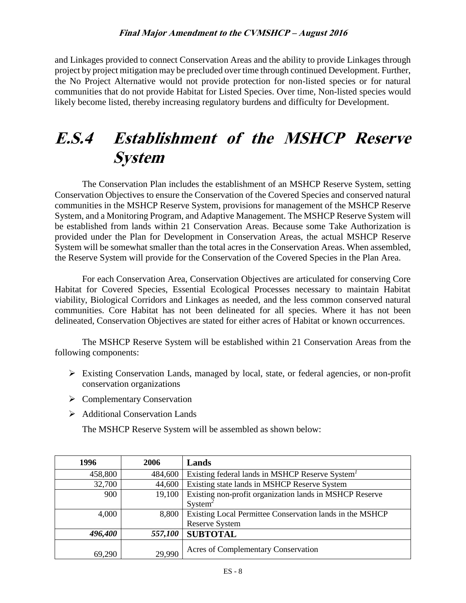and Linkages provided to connect Conservation Areas and the ability to provide Linkages through project by project mitigation may be precluded over time through continued Development. Further, the No Project Alternative would not provide protection for non-listed species or for natural communities that do not provide Habitat for Listed Species. Over time, Non-listed species would likely become listed, thereby increasing regulatory burdens and difficulty for Development.

## **E.S.4 Establishment of the MSHCP Reserve System**

The Conservation Plan includes the establishment of an MSHCP Reserve System, setting Conservation Objectives to ensure the Conservation of the Covered Species and conserved natural communities in the MSHCP Reserve System, provisions for management of the MSHCP Reserve System, and a Monitoring Program, and Adaptive Management. The MSHCP Reserve System will be established from lands within 21 Conservation Areas. Because some Take Authorization is provided under the Plan for Development in Conservation Areas, the actual MSHCP Reserve System will be somewhat smaller than the total acres in the Conservation Areas. When assembled, the Reserve System will provide for the Conservation of the Covered Species in the Plan Area.

For each Conservation Area, Conservation Objectives are articulated for conserving Core Habitat for Covered Species, Essential Ecological Processes necessary to maintain Habitat viability, Biological Corridors and Linkages as needed, and the less common conserved natural communities. Core Habitat has not been delineated for all species. Where it has not been delineated, Conservation Objectives are stated for either acres of Habitat or known occurrences.

The MSHCP Reserve System will be established within 21 Conservation Areas from the following components:

- $\triangleright$  Existing Conservation Lands, managed by local, state, or federal agencies, or non-profit conservation organizations
- $\triangleright$  Complementary Conservation
- Additional Conservation Lands

The MSHCP Reserve System will be assembled as shown below:

| 1996    | 2006    | Lands                                                       |
|---------|---------|-------------------------------------------------------------|
| 458,800 | 484,600 | Existing federal lands in MSHCP Reserve System <sup>1</sup> |
| 32,700  | 44,600  | Existing state lands in MSHCP Reserve System                |
| 900     | 19,100  | Existing non-profit organization lands in MSHCP Reserve     |
|         |         | $S$ ystem <sup>2</sup>                                      |
| 4,000   | 8,800   | Existing Local Permittee Conservation lands in the MSHCP    |
|         |         | <b>Reserve System</b>                                       |
| 496,400 | 557,100 | <b>SUBTOTAL</b>                                             |
| 69,290  | 29,990  | Acres of Complementary Conservation                         |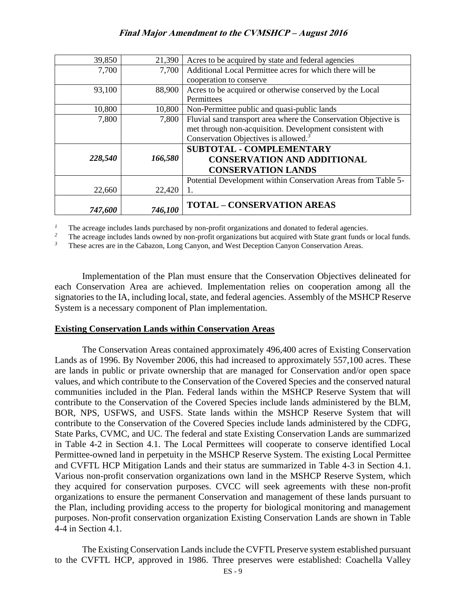| 39,850  | 21,390  | Acres to be acquired by state and federal agencies              |
|---------|---------|-----------------------------------------------------------------|
| 7,700   | 7,700   | Additional Local Permittee acres for which there will be        |
|         |         | cooperation to conserve                                         |
| 93,100  | 88,900  | Acres to be acquired or otherwise conserved by the Local        |
|         |         | Permittees                                                      |
| 10,800  | 10,800  | Non-Permittee public and quasi-public lands                     |
| 7,800   | 7,800   | Fluvial sand transport area where the Conservation Objective is |
|         |         | met through non-acquisition. Development consistent with        |
|         |         | Conservation Objectives is allowed. <sup>3</sup>                |
|         |         | <b>SUBTOTAL - COMPLEMENTARY</b>                                 |
| 228,540 | 166,580 | <b>CONSERVATION AND ADDITIONAL</b>                              |
|         |         | <b>CONSERVATION LANDS</b>                                       |
|         |         | Potential Development within Conservation Areas from Table 5-   |
| 22,660  | 22,420  | 1.                                                              |
| 747,600 | 746,100 | <b>TOTAL - CONSERVATION AREAS</b>                               |

<sup>1</sup> The acreage includes lands purchased by non-profit organizations and donated to federal agencies.

*2* The acreage includes lands owned by non-profit organizations but acquired with State grant funds or local funds.

*3* These acres are in the Cabazon, Long Canyon, and West Deception Canyon Conservation Areas.

Implementation of the Plan must ensure that the Conservation Objectives delineated for each Conservation Area are achieved. Implementation relies on cooperation among all the signatories to the IA, including local, state, and federal agencies. Assembly of the MSHCP Reserve System is a necessary component of Plan implementation.

#### **Existing Conservation Lands within Conservation Areas**

The Conservation Areas contained approximately 496,400 acres of Existing Conservation Lands as of 1996. By November 2006, this had increased to approximately 557,100 acres. These are lands in public or private ownership that are managed for Conservation and/or open space values, and which contribute to the Conservation of the Covered Species and the conserved natural communities included in the Plan. Federal lands within the MSHCP Reserve System that will contribute to the Conservation of the Covered Species include lands administered by the BLM, BOR, NPS, USFWS, and USFS. State lands within the MSHCP Reserve System that will contribute to the Conservation of the Covered Species include lands administered by the CDFG, State Parks, CVMC, and UC. The federal and state Existing Conservation Lands are summarized in Table 4-2 in Section 4.1. The Local Permittees will cooperate to conserve identified Local Permittee-owned land in perpetuity in the MSHCP Reserve System. The existing Local Permittee and CVFTL HCP Mitigation Lands and their status are summarized in Table 4-3 in Section 4.1. Various non-profit conservation organizations own land in the MSHCP Reserve System, which they acquired for conservation purposes. CVCC will seek agreements with these non-profit organizations to ensure the permanent Conservation and management of these lands pursuant to the Plan, including providing access to the property for biological monitoring and management purposes. Non-profit conservation organization Existing Conservation Lands are shown in Table 4-4 in Section 4.1.

The Existing Conservation Lands include the CVFTL Preserve system established pursuant to the CVFTL HCP, approved in 1986. Three preserves were established: Coachella Valley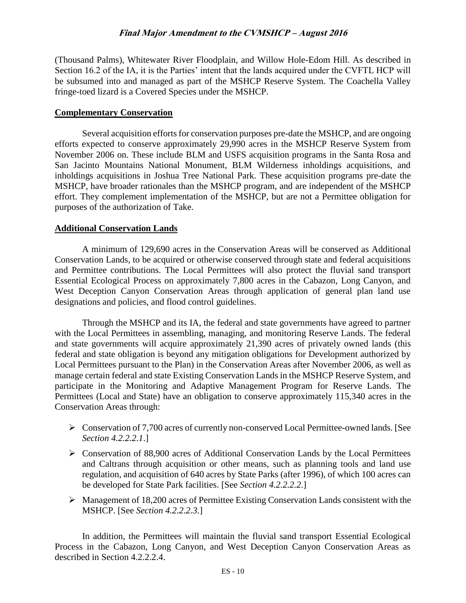(Thousand Palms), Whitewater River Floodplain, and Willow Hole-Edom Hill. As described in Section 16.2 of the IA, it is the Parties' intent that the lands acquired under the CVFTL HCP will be subsumed into and managed as part of the MSHCP Reserve System. The Coachella Valley fringe-toed lizard is a Covered Species under the MSHCP.

### **Complementary Conservation**

Several acquisition efforts for conservation purposes pre-date the MSHCP, and are ongoing efforts expected to conserve approximately 29,990 acres in the MSHCP Reserve System from November 2006 on. These include BLM and USFS acquisition programs in the Santa Rosa and San Jacinto Mountains National Monument, BLM Wilderness inholdings acquisitions, and inholdings acquisitions in Joshua Tree National Park. These acquisition programs pre-date the MSHCP, have broader rationales than the MSHCP program, and are independent of the MSHCP effort. They complement implementation of the MSHCP, but are not a Permittee obligation for purposes of the authorization of Take.

## **Additional Conservation Lands**

A minimum of 129,690 acres in the Conservation Areas will be conserved as Additional Conservation Lands, to be acquired or otherwise conserved through state and federal acquisitions and Permittee contributions. The Local Permittees will also protect the fluvial sand transport Essential Ecological Process on approximately 7,800 acres in the Cabazon, Long Canyon, and West Deception Canyon Conservation Areas through application of general plan land use designations and policies, and flood control guidelines.

Through the MSHCP and its IA, the federal and state governments have agreed to partner with the Local Permittees in assembling, managing, and monitoring Reserve Lands. The federal and state governments will acquire approximately 21,390 acres of privately owned lands (this federal and state obligation is beyond any mitigation obligations for Development authorized by Local Permittees pursuant to the Plan) in the Conservation Areas after November 2006, as well as manage certain federal and state Existing Conservation Lands in the MSHCP Reserve System, and participate in the Monitoring and Adaptive Management Program for Reserve Lands. The Permittees (Local and State) have an obligation to conserve approximately 115,340 acres in the Conservation Areas through:

- $\triangleright$  Conservation of 7,700 acres of currently non-conserved Local Permittee-owned lands. [See *Section 4.2.2.2.1*.]
- $\triangleright$  Conservation of 88,900 acres of Additional Conservation Lands by the Local Permittees and Caltrans through acquisition or other means, such as planning tools and land use regulation, and acquisition of 640 acres by State Parks (after 1996), of which 100 acres can be developed for State Park facilities. [See *Section 4.2.2.2.2*.]
- $\triangleright$  Management of 18,200 acres of Permittee Existing Conservation Lands consistent with the MSHCP. [See *Section 4.2.2.2.3*.]

In addition, the Permittees will maintain the fluvial sand transport Essential Ecological Process in the Cabazon, Long Canyon, and West Deception Canyon Conservation Areas as described in Section 4.2.2.2.4.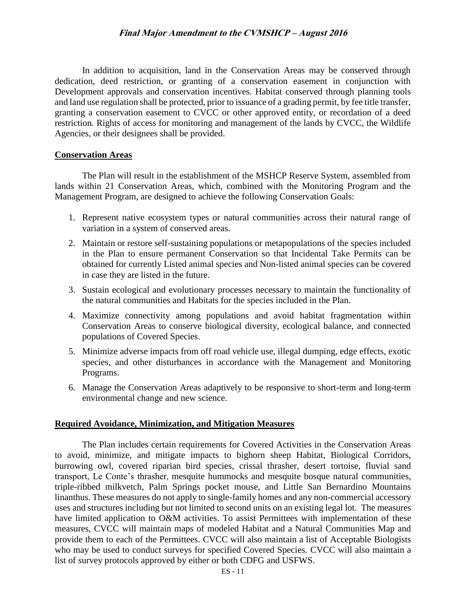In addition to acquisition, land in the Conservation Areas may be conserved through dedication, deed restriction, or granting of a conservation easement in conjunction with Development approvals and conservation incentives. Habitat conserved through planning tools and land use regulation shall be protected, prior to issuance of a grading permit, by fee title transfer, granting a conservation easement to CVCC or other approved entity, or recordation of a deed restriction. Rights of access for monitoring and management of the lands by CVCC, the Wildlife Agencies, or their designees shall be provided.

#### **Conservation Areas**

The Plan will result in the establishment of the MSHCP Reserve System, assembled from lands within 21 Conservation Areas, which, combined with the Monitoring Program and the Management Program, are designed to achieve the following Conservation Goals:

- 1. Represent native ecosystem types or natural communities across their natural range of variation in a system of conserved areas.
- 2. Maintain or restore self-sustaining populations or metapopulations of the species included in the Plan to ensure permanent Conservation so that Incidental Take Permits can be obtained for currently Listed animal species and Non-listed animal species can be covered in case they are listed in the future.
- 3. Sustain ecological and evolutionary processes necessary to maintain the functionality of the natural communities and Habitats for the species included in the Plan.
- 4. Maximize connectivity among populations and avoid habitat fragmentation within Conservation Areas to conserve biological diversity, ecological balance, and connected populations of Covered Species.
- 5. Minimize adverse impacts from off road vehicle use, illegal dumping, edge effects, exotic species, and other disturbances in accordance with the Management and Monitoring Programs.
- 6. Manage the Conservation Areas adaptively to be responsive to short-term and long-term environmental change and new science.

#### **Required Avoidance, Minimization, and Mitigation Measures**

The Plan includes certain requirements for Covered Activities in the Conservation Areas to avoid, minimize, and mitigate impacts to bighorn sheep Habitat, Biological Corridors, burrowing owl, covered riparian bird species, crissal thrasher, desert tortoise, fluvial sand transport, Le Conte's thrasher, mesquite hummocks and mesquite bosque natural communities, triple-ribbed milkvetch, Palm Springs pocket mouse, and Little San Bernardino Mountains linanthus. These measures do not apply to single-family homes and any non-commercial accessory uses and structures including but not limited to second units on an existing legal lot. The measures have limited application to O&M activities. To assist Permittees with implementation of these measures, CVCC will maintain maps of modeled Habitat and a Natural Communities Map and provide them to each of the Permittees. CVCC will also maintain a list of Acceptable Biologists who may be used to conduct surveys for specified Covered Species. CVCC will also maintain a list of survey protocols approved by either or both CDFG and USFWS.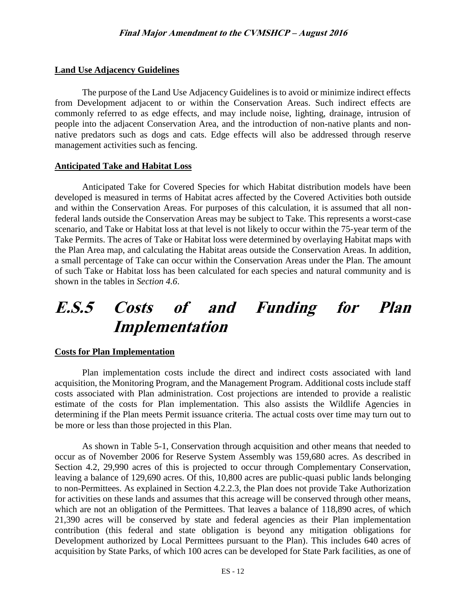## **Land Use Adjacency Guidelines**

The purpose of the Land Use Adjacency Guidelines is to avoid or minimize indirect effects from Development adjacent to or within the Conservation Areas. Such indirect effects are commonly referred to as edge effects, and may include noise, lighting, drainage, intrusion of people into the adjacent Conservation Area, and the introduction of non-native plants and nonnative predators such as dogs and cats. Edge effects will also be addressed through reserve management activities such as fencing.

#### **Anticipated Take and Habitat Loss**

Anticipated Take for Covered Species for which Habitat distribution models have been developed is measured in terms of Habitat acres affected by the Covered Activities both outside and within the Conservation Areas. For purposes of this calculation, it is assumed that all nonfederal lands outside the Conservation Areas may be subject to Take. This represents a worst-case scenario, and Take or Habitat loss at that level is not likely to occur within the 75-year term of the Take Permits. The acres of Take or Habitat loss were determined by overlaying Habitat maps with the Plan Area map, and calculating the Habitat areas outside the Conservation Areas. In addition, a small percentage of Take can occur within the Conservation Areas under the Plan. The amount of such Take or Habitat loss has been calculated for each species and natural community and is shown in the tables in *Section 4.6*.

# **E.S.5 Costs of and Funding for Plan Implementation**

#### **Costs for Plan Implementation**

Plan implementation costs include the direct and indirect costs associated with land acquisition, the Monitoring Program, and the Management Program. Additional costs include staff costs associated with Plan administration. Cost projections are intended to provide a realistic estimate of the costs for Plan implementation. This also assists the Wildlife Agencies in determining if the Plan meets Permit issuance criteria. The actual costs over time may turn out to be more or less than those projected in this Plan.

As shown in Table 5-1, Conservation through acquisition and other means that needed to occur as of November 2006 for Reserve System Assembly was 159,680 acres. As described in Section 4.2, 29,990 acres of this is projected to occur through Complementary Conservation, leaving a balance of 129,690 acres. Of this, 10,800 acres are public-quasi public lands belonging to non-Permittees. As explained in Section 4.2.2.3, the Plan does not provide Take Authorization for activities on these lands and assumes that this acreage will be conserved through other means, which are not an obligation of the Permittees. That leaves a balance of 118,890 acres, of which 21,390 acres will be conserved by state and federal agencies as their Plan implementation contribution (this federal and state obligation is beyond any mitigation obligations for Development authorized by Local Permittees pursuant to the Plan). This includes 640 acres of acquisition by State Parks, of which 100 acres can be developed for State Park facilities, as one of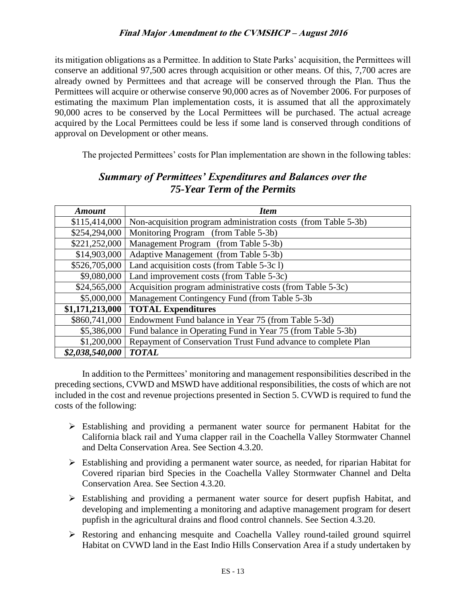its mitigation obligations as a Permittee. In addition to State Parks' acquisition, the Permittees will conserve an additional 97,500 acres through acquisition or other means. Of this, 7,700 acres are already owned by Permittees and that acreage will be conserved through the Plan. Thus the Permittees will acquire or otherwise conserve 90,000 acres as of November 2006. For purposes of estimating the maximum Plan implementation costs, it is assumed that all the approximately 90,000 acres to be conserved by the Local Permittees will be purchased. The actual acreage acquired by the Local Permittees could be less if some land is conserved through conditions of approval on Development or other means.

The projected Permittees' costs for Plan implementation are shown in the following tables:

| <b>Amount</b>   | <b>Item</b>                                                    |  |  |
|-----------------|----------------------------------------------------------------|--|--|
| \$115,414,000   | Non-acquisition program administration costs (from Table 5-3b) |  |  |
| \$254,294,000   | Monitoring Program (from Table 5-3b)                           |  |  |
| \$221,252,000   | Management Program (from Table 5-3b)                           |  |  |
| \$14,903,000    | Adaptive Management (from Table 5-3b)                          |  |  |
| \$526,705,000   | Land acquisition costs (from Table 5-3c l)                     |  |  |
| \$9,080,000     | Land improvement costs (from Table 5-3c)                       |  |  |
| \$24,565,000    | Acquisition program administrative costs (from Table 5-3c)     |  |  |
| \$5,000,000     | Management Contingency Fund (from Table 5-3b)                  |  |  |
| \$1,171,213,000 | <b>TOTAL Expenditures</b>                                      |  |  |
| \$860,741,000   | Endowment Fund balance in Year 75 (from Table 5-3d)            |  |  |
| \$5,386,000     | Fund balance in Operating Fund in Year 75 (from Table 5-3b)    |  |  |
| \$1,200,000     | Repayment of Conservation Trust Fund advance to complete Plan  |  |  |
| \$2,038,540,000 | <b>TOTAL</b>                                                   |  |  |

## *Summary of Permittees' Expenditures and Balances over the 75-Year Term of the Permits*

In addition to the Permittees' monitoring and management responsibilities described in the preceding sections, CVWD and MSWD have additional responsibilities, the costs of which are not included in the cost and revenue projections presented in Section 5. CVWD is required to fund the costs of the following:

- Establishing and providing a permanent water source for permanent Habitat for the California black rail and Yuma clapper rail in the Coachella Valley Stormwater Channel and Delta Conservation Area. See Section 4.3.20.
- Establishing and providing a permanent water source, as needed, for riparian Habitat for Covered riparian bird Species in the Coachella Valley Stormwater Channel and Delta Conservation Area. See Section 4.3.20.
- $\triangleright$  Establishing and providing a permanent water source for desert pupfish Habitat, and developing and implementing a monitoring and adaptive management program for desert pupfish in the agricultural drains and flood control channels. See Section 4.3.20.
- Restoring and enhancing mesquite and Coachella Valley round-tailed ground squirrel Habitat on CVWD land in the East Indio Hills Conservation Area if a study undertaken by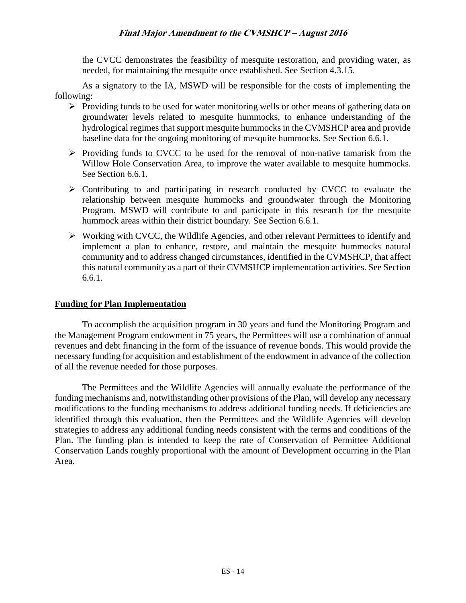the CVCC demonstrates the feasibility of mesquite restoration, and providing water, as needed, for maintaining the mesquite once established. See Section 4.3.15.

As a signatory to the IA, MSWD will be responsible for the costs of implementing the following:

- $\triangleright$  Providing funds to be used for water monitoring wells or other means of gathering data on groundwater levels related to mesquite hummocks, to enhance understanding of the hydrological regimes that support mesquite hummocks in the CVMSHCP area and provide baseline data for the ongoing monitoring of mesquite hummocks. See Section 6.6.1.
- $\triangleright$  Providing funds to CVCC to be used for the removal of non-native tamarisk from the Willow Hole Conservation Area, to improve the water available to mesquite hummocks. See Section 6.6.1.
- $\triangleright$  Contributing to and participating in research conducted by CVCC to evaluate the relationship between mesquite hummocks and groundwater through the Monitoring Program. MSWD will contribute to and participate in this research for the mesquite hummock areas within their district boundary. See Section 6.6.1.
- $\triangleright$  Working with CVCC, the Wildlife Agencies, and other relevant Permittees to identify and implement a plan to enhance, restore, and maintain the mesquite hummocks natural community and to address changed circumstances, identified in the CVMSHCP, that affect this natural community as a part of their CVMSHCP implementation activities. See Section 6.6.1.

#### **Funding for Plan Implementation**

To accomplish the acquisition program in 30 years and fund the Monitoring Program and the Management Program endowment in 75 years, the Permittees will use a combination of annual revenues and debt financing in the form of the issuance of revenue bonds. This would provide the necessary funding for acquisition and establishment of the endowment in advance of the collection of all the revenue needed for those purposes.

The Permittees and the Wildlife Agencies will annually evaluate the performance of the funding mechanisms and, notwithstanding other provisions of the Plan, will develop any necessary modifications to the funding mechanisms to address additional funding needs. If deficiencies are identified through this evaluation, then the Permittees and the Wildlife Agencies will develop strategies to address any additional funding needs consistent with the terms and conditions of the Plan. The funding plan is intended to keep the rate of Conservation of Permittee Additional Conservation Lands roughly proportional with the amount of Development occurring in the Plan Area.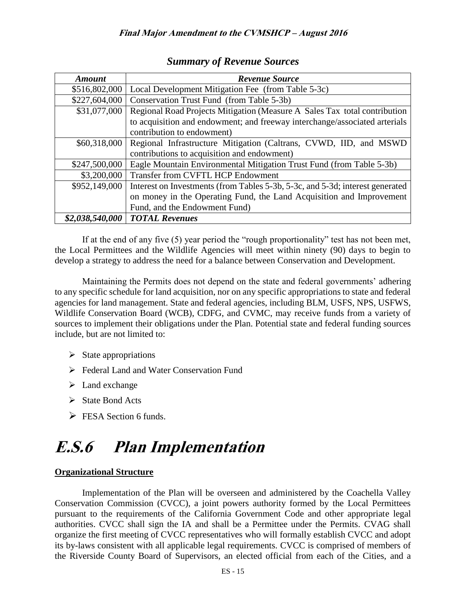| <b>Amount</b>   | <b>Revenue Source</b>                                                         |  |
|-----------------|-------------------------------------------------------------------------------|--|
| \$516,802,000   | Local Development Mitigation Fee (from Table 5-3c)                            |  |
| \$227,604,000   | Conservation Trust Fund (from Table 5-3b)                                     |  |
| \$31,077,000    | Regional Road Projects Mitigation (Measure A Sales Tax total contribution     |  |
|                 | to acquisition and endowment; and freeway interchange/associated arterials    |  |
|                 | contribution to endowment)                                                    |  |
| \$60,318,000    | Regional Infrastructure Mitigation (Caltrans, CVWD, IID, and MSWD             |  |
|                 | contributions to acquisition and endowment)                                   |  |
| \$247,500,000   | Eagle Mountain Environmental Mitigation Trust Fund (from Table 5-3b)          |  |
| \$3,200,000     | Transfer from CVFTL HCP Endowment                                             |  |
| \$952,149,000   | Interest on Investments (from Tables 5-3b, 5-3c, and 5-3d; interest generated |  |
|                 | on money in the Operating Fund, the Land Acquisition and Improvement          |  |
|                 | Fund, and the Endowment Fund)                                                 |  |
| \$2,038,540,000 | <b>TOTAL Revenues</b>                                                         |  |

## *Summary of Revenue Sources*

If at the end of any five (5) year period the "rough proportionality" test has not been met, the Local Permittees and the Wildlife Agencies will meet within ninety (90) days to begin to develop a strategy to address the need for a balance between Conservation and Development.

Maintaining the Permits does not depend on the state and federal governments' adhering to any specific schedule for land acquisition, nor on any specific appropriations to state and federal agencies for land management. State and federal agencies, including BLM, USFS, NPS, USFWS, Wildlife Conservation Board (WCB), CDFG, and CVMC, may receive funds from a variety of sources to implement their obligations under the Plan. Potential state and federal funding sources include, but are not limited to:

- $\triangleright$  State appropriations
- Federal Land and Water Conservation Fund
- $\triangleright$  Land exchange
- $\triangleright$  State Bond Acts
- $\triangleright$  FESA Section 6 funds.

# **E.S.6 Plan Implementation**

## **Organizational Structure**

Implementation of the Plan will be overseen and administered by the Coachella Valley Conservation Commission (CVCC), a joint powers authority formed by the Local Permittees pursuant to the requirements of the California Government Code and other appropriate legal authorities. CVCC shall sign the IA and shall be a Permittee under the Permits. CVAG shall organize the first meeting of CVCC representatives who will formally establish CVCC and adopt its by-laws consistent with all applicable legal requirements. CVCC is comprised of members of the Riverside County Board of Supervisors, an elected official from each of the Cities, and a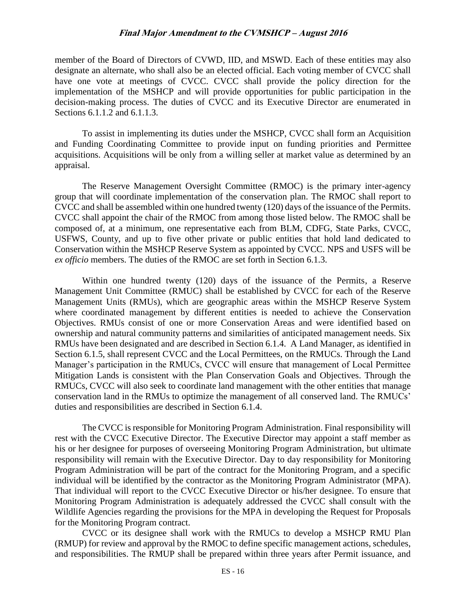member of the Board of Directors of CVWD, IID, and MSWD. Each of these entities may also designate an alternate, who shall also be an elected official. Each voting member of CVCC shall have one vote at meetings of CVCC. CVCC shall provide the policy direction for the implementation of the MSHCP and will provide opportunities for public participation in the decision-making process. The duties of CVCC and its Executive Director are enumerated in Sections 6.1.1.2 and 6.1.1.3.

To assist in implementing its duties under the MSHCP, CVCC shall form an Acquisition and Funding Coordinating Committee to provide input on funding priorities and Permittee acquisitions. Acquisitions will be only from a willing seller at market value as determined by an appraisal.

The Reserve Management Oversight Committee (RMOC) is the primary inter-agency group that will coordinate implementation of the conservation plan. The RMOC shall report to CVCC and shall be assembled within one hundred twenty (120) days of the issuance of the Permits. CVCC shall appoint the chair of the RMOC from among those listed below. The RMOC shall be composed of, at a minimum, one representative each from BLM, CDFG, State Parks, CVCC, USFWS, County, and up to five other private or public entities that hold land dedicated to Conservation within the MSHCP Reserve System as appointed by CVCC. NPS and USFS will be *ex officio* members. The duties of the RMOC are set forth in Section 6.1.3.

Within one hundred twenty (120) days of the issuance of the Permits, a Reserve Management Unit Committee (RMUC) shall be established by CVCC for each of the Reserve Management Units (RMUs), which are geographic areas within the MSHCP Reserve System where coordinated management by different entities is needed to achieve the Conservation Objectives. RMUs consist of one or more Conservation Areas and were identified based on ownership and natural community patterns and similarities of anticipated management needs. Six RMUs have been designated and are described in Section 6.1.4. A Land Manager, as identified in Section 6.1.5, shall represent CVCC and the Local Permittees, on the RMUCs. Through the Land Manager's participation in the RMUCs, CVCC will ensure that management of Local Permittee Mitigation Lands is consistent with the Plan Conservation Goals and Objectives. Through the RMUCs, CVCC will also seek to coordinate land management with the other entities that manage conservation land in the RMUs to optimize the management of all conserved land. The RMUCs' duties and responsibilities are described in Section 6.1.4.

The CVCC is responsible for Monitoring Program Administration. Final responsibility will rest with the CVCC Executive Director. The Executive Director may appoint a staff member as his or her designee for purposes of overseeing Monitoring Program Administration, but ultimate responsibility will remain with the Executive Director. Day to day responsibility for Monitoring Program Administration will be part of the contract for the Monitoring Program, and a specific individual will be identified by the contractor as the Monitoring Program Administrator (MPA). That individual will report to the CVCC Executive Director or his/her designee. To ensure that Monitoring Program Administration is adequately addressed the CVCC shall consult with the Wildlife Agencies regarding the provisions for the MPA in developing the Request for Proposals for the Monitoring Program contract.

CVCC or its designee shall work with the RMUCs to develop a MSHCP RMU Plan (RMUP) for review and approval by the RMOC to define specific management actions, schedules, and responsibilities. The RMUP shall be prepared within three years after Permit issuance, and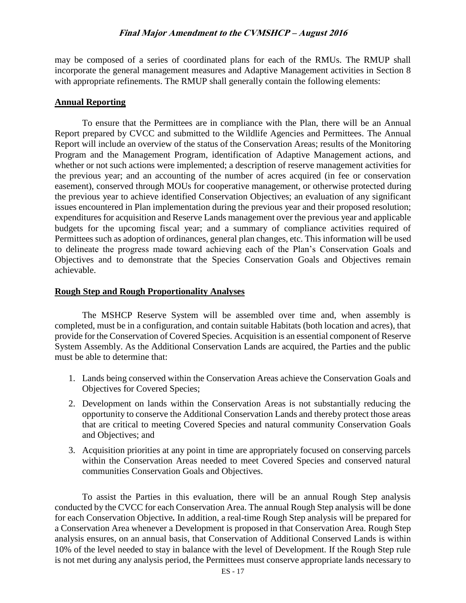may be composed of a series of coordinated plans for each of the RMUs. The RMUP shall incorporate the general management measures and Adaptive Management activities in Section 8 with appropriate refinements. The RMUP shall generally contain the following elements:

#### **Annual Reporting**

To ensure that the Permittees are in compliance with the Plan, there will be an Annual Report prepared by CVCC and submitted to the Wildlife Agencies and Permittees. The Annual Report will include an overview of the status of the Conservation Areas; results of the Monitoring Program and the Management Program, identification of Adaptive Management actions, and whether or not such actions were implemented; a description of reserve management activities for the previous year; and an accounting of the number of acres acquired (in fee or conservation easement), conserved through MOUs for cooperative management, or otherwise protected during the previous year to achieve identified Conservation Objectives; an evaluation of any significant issues encountered in Plan implementation during the previous year and their proposed resolution; expenditures for acquisition and Reserve Lands management over the previous year and applicable budgets for the upcoming fiscal year; and a summary of compliance activities required of Permittees such as adoption of ordinances, general plan changes, etc. This information will be used to delineate the progress made toward achieving each of the Plan's Conservation Goals and Objectives and to demonstrate that the Species Conservation Goals and Objectives remain achievable.

#### **Rough Step and Rough Proportionality Analyses**

The MSHCP Reserve System will be assembled over time and, when assembly is completed, must be in a configuration, and contain suitable Habitats (both location and acres), that provide for the Conservation of Covered Species. Acquisition is an essential component of Reserve System Assembly. As the Additional Conservation Lands are acquired, the Parties and the public must be able to determine that:

- 1. Lands being conserved within the Conservation Areas achieve the Conservation Goals and Objectives for Covered Species;
- 2. Development on lands within the Conservation Areas is not substantially reducing the opportunity to conserve the Additional Conservation Lands and thereby protect those areas that are critical to meeting Covered Species and natural community Conservation Goals and Objectives; and
- 3. Acquisition priorities at any point in time are appropriately focused on conserving parcels within the Conservation Areas needed to meet Covered Species and conserved natural communities Conservation Goals and Objectives.

To assist the Parties in this evaluation, there will be an annual Rough Step analysis conducted by the CVCC for each Conservation Area. The annual Rough Step analysis will be done for each Conservation Objective*.* In addition, a real-time Rough Step analysis will be prepared for a Conservation Area whenever a Development is proposed in that Conservation Area. Rough Step analysis ensures, on an annual basis, that Conservation of Additional Conserved Lands is within 10% of the level needed to stay in balance with the level of Development. If the Rough Step rule is not met during any analysis period, the Permittees must conserve appropriate lands necessary to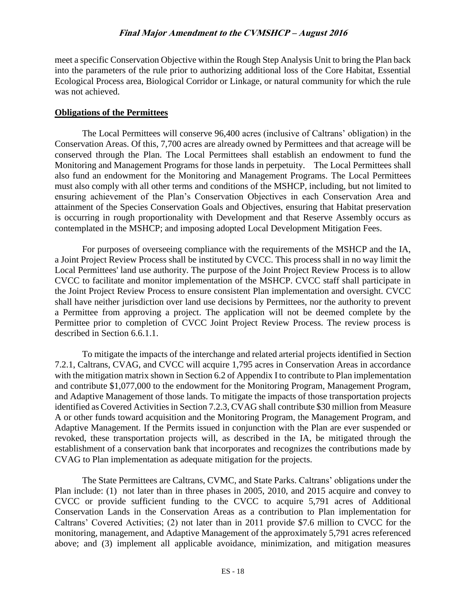meet a specific Conservation Objective within the Rough Step Analysis Unit to bring the Plan back into the parameters of the rule prior to authorizing additional loss of the Core Habitat, Essential Ecological Process area, Biological Corridor or Linkage, or natural community for which the rule was not achieved.

#### **Obligations of the Permittees**

The Local Permittees will conserve 96,400 acres (inclusive of Caltrans' obligation) in the Conservation Areas. Of this, 7,700 acres are already owned by Permittees and that acreage will be conserved through the Plan. The Local Permittees shall establish an endowment to fund the Monitoring and Management Programs for those lands in perpetuity. The Local Permittees shall also fund an endowment for the Monitoring and Management Programs. The Local Permittees must also comply with all other terms and conditions of the MSHCP, including, but not limited to ensuring achievement of the Plan's Conservation Objectives in each Conservation Area and attainment of the Species Conservation Goals and Objectives, ensuring that Habitat preservation is occurring in rough proportionality with Development and that Reserve Assembly occurs as contemplated in the MSHCP; and imposing adopted Local Development Mitigation Fees.

For purposes of overseeing compliance with the requirements of the MSHCP and the IA, a Joint Project Review Process shall be instituted by CVCC. This process shall in no way limit the Local Permittees' land use authority. The purpose of the Joint Project Review Process is to allow CVCC to facilitate and monitor implementation of the MSHCP. CVCC staff shall participate in the Joint Project Review Process to ensure consistent Plan implementation and oversight. CVCC shall have neither jurisdiction over land use decisions by Permittees, nor the authority to prevent a Permittee from approving a project. The application will not be deemed complete by the Permittee prior to completion of CVCC Joint Project Review Process. The review process is described in Section 6.6.1.1.

To mitigate the impacts of the interchange and related arterial projects identified in Section 7.2.1, Caltrans, CVAG, and CVCC will acquire 1,795 acres in Conservation Areas in accordance with the mitigation matrix shown in Section 6.2 of Appendix I to contribute to Plan implementation and contribute \$1,077,000 to the endowment for the Monitoring Program, Management Program, and Adaptive Management of those lands. To mitigate the impacts of those transportation projects identified as Covered Activities in Section 7.2.3, CVAG shall contribute \$30 million from Measure A or other funds toward acquisition and the Monitoring Program, the Management Program, and Adaptive Management. If the Permits issued in conjunction with the Plan are ever suspended or revoked, these transportation projects will, as described in the IA, be mitigated through the establishment of a conservation bank that incorporates and recognizes the contributions made by CVAG to Plan implementation as adequate mitigation for the projects.

The State Permittees are Caltrans, CVMC, and State Parks. Caltrans' obligations under the Plan include: (1) not later than in three phases in 2005, 2010, and 2015 acquire and convey to CVCC or provide sufficient funding to the CVCC to acquire 5,791 acres of Additional Conservation Lands in the Conservation Areas as a contribution to Plan implementation for Caltrans' Covered Activities; (2) not later than in 2011 provide \$7.6 million to CVCC for the monitoring, management, and Adaptive Management of the approximately 5,791 acres referenced above; and (3) implement all applicable avoidance, minimization, and mitigation measures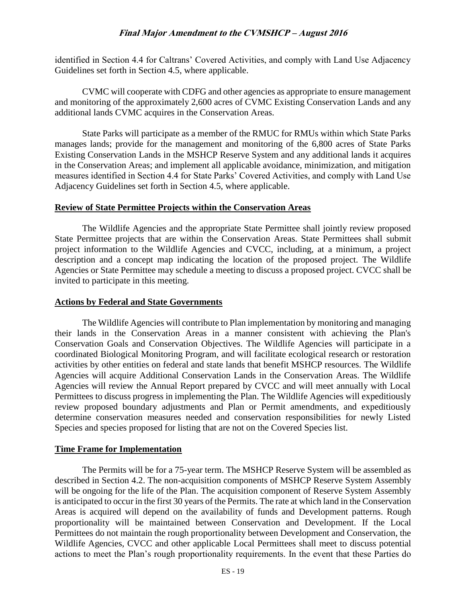identified in Section 4.4 for Caltrans' Covered Activities, and comply with Land Use Adjacency Guidelines set forth in Section 4.5, where applicable.

CVMC will cooperate with CDFG and other agencies as appropriate to ensure management and monitoring of the approximately 2,600 acres of CVMC Existing Conservation Lands and any additional lands CVMC acquires in the Conservation Areas.

State Parks will participate as a member of the RMUC for RMUs within which State Parks manages lands; provide for the management and monitoring of the 6,800 acres of State Parks Existing Conservation Lands in the MSHCP Reserve System and any additional lands it acquires in the Conservation Areas; and implement all applicable avoidance, minimization, and mitigation measures identified in Section 4.4 for State Parks' Covered Activities, and comply with Land Use Adjacency Guidelines set forth in Section 4.5, where applicable.

#### **Review of State Permittee Projects within the Conservation Areas**

The Wildlife Agencies and the appropriate State Permittee shall jointly review proposed State Permittee projects that are within the Conservation Areas. State Permittees shall submit project information to the Wildlife Agencies and CVCC, including, at a minimum, a project description and a concept map indicating the location of the proposed project. The Wildlife Agencies or State Permittee may schedule a meeting to discuss a proposed project. CVCC shall be invited to participate in this meeting.

#### **Actions by Federal and State Governments**

The Wildlife Agencies will contribute to Plan implementation by monitoring and managing their lands in the Conservation Areas in a manner consistent with achieving the Plan's Conservation Goals and Conservation Objectives. The Wildlife Agencies will participate in a coordinated Biological Monitoring Program, and will facilitate ecological research or restoration activities by other entities on federal and state lands that benefit MSHCP resources. The Wildlife Agencies will acquire Additional Conservation Lands in the Conservation Areas. The Wildlife Agencies will review the Annual Report prepared by CVCC and will meet annually with Local Permittees to discuss progress in implementing the Plan. The Wildlife Agencies will expeditiously review proposed boundary adjustments and Plan or Permit amendments, and expeditiously determine conservation measures needed and conservation responsibilities for newly Listed Species and species proposed for listing that are not on the Covered Species list.

#### **Time Frame for Implementation**

The Permits will be for a 75-year term. The MSHCP Reserve System will be assembled as described in Section 4.2. The non-acquisition components of MSHCP Reserve System Assembly will be ongoing for the life of the Plan. The acquisition component of Reserve System Assembly is anticipated to occur in the first 30 years of the Permits. The rate at which land in the Conservation Areas is acquired will depend on the availability of funds and Development patterns. Rough proportionality will be maintained between Conservation and Development. If the Local Permittees do not maintain the rough proportionality between Development and Conservation, the Wildlife Agencies, CVCC and other applicable Local Permittees shall meet to discuss potential actions to meet the Plan's rough proportionality requirements. In the event that these Parties do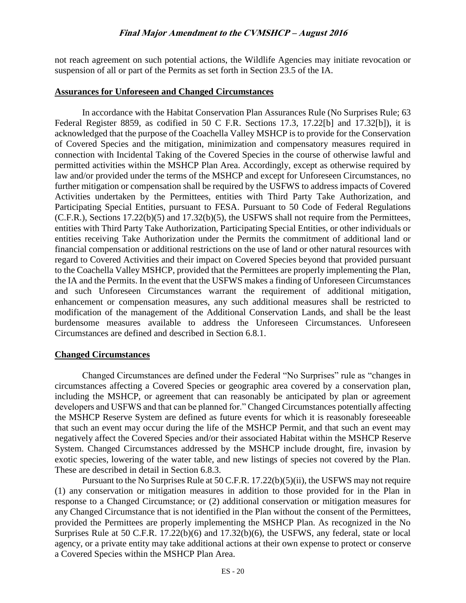not reach agreement on such potential actions, the Wildlife Agencies may initiate revocation or suspension of all or part of the Permits as set forth in Section 23.5 of the IA.

#### **Assurances for Unforeseen and Changed Circumstances**

In accordance with the Habitat Conservation Plan Assurances Rule (No Surprises Rule; 63 Federal Register 8859, as codified in 50 C F.R. Sections 17.3, 17.22[b] and 17.32[b]), it is acknowledged that the purpose of the Coachella Valley MSHCP is to provide for the Conservation of Covered Species and the mitigation, minimization and compensatory measures required in connection with Incidental Taking of the Covered Species in the course of otherwise lawful and permitted activities within the MSHCP Plan Area. Accordingly, except as otherwise required by law and/or provided under the terms of the MSHCP and except for Unforeseen Circumstances, no further mitigation or compensation shall be required by the USFWS to address impacts of Covered Activities undertaken by the Permittees, entities with Third Party Take Authorization, and Participating Special Entities, pursuant to FESA. Pursuant to 50 Code of Federal Regulations (C.F.R.), Sections 17.22(b)(5) and 17.32(b)(5), the USFWS shall not require from the Permittees, entities with Third Party Take Authorization, Participating Special Entities, or other individuals or entities receiving Take Authorization under the Permits the commitment of additional land or financial compensation or additional restrictions on the use of land or other natural resources with regard to Covered Activities and their impact on Covered Species beyond that provided pursuant to the Coachella Valley MSHCP, provided that the Permittees are properly implementing the Plan, the IA and the Permits. In the event that the USFWS makes a finding of Unforeseen Circumstances and such Unforeseen Circumstances warrant the requirement of additional mitigation, enhancement or compensation measures, any such additional measures shall be restricted to modification of the management of the Additional Conservation Lands, and shall be the least burdensome measures available to address the Unforeseen Circumstances. Unforeseen Circumstances are defined and described in Section 6.8.1.

#### **Changed Circumstances**

Changed Circumstances are defined under the Federal "No Surprises" rule as "changes in circumstances affecting a Covered Species or geographic area covered by a conservation plan, including the MSHCP, or agreement that can reasonably be anticipated by plan or agreement developers and USFWS and that can be planned for." Changed Circumstances potentially affecting the MSHCP Reserve System are defined as future events for which it is reasonably foreseeable that such an event may occur during the life of the MSHCP Permit, and that such an event may negatively affect the Covered Species and/or their associated Habitat within the MSHCP Reserve System. Changed Circumstances addressed by the MSHCP include drought, fire, invasion by exotic species, lowering of the water table, and new listings of species not covered by the Plan. These are described in detail in Section 6.8.3.

Pursuant to the No Surprises Rule at 50 C.F.R. 17.22(b)(5)(ii), the USFWS may not require (1) any conservation or mitigation measures in addition to those provided for in the Plan in response to a Changed Circumstance; or (2) additional conservation or mitigation measures for any Changed Circumstance that is not identified in the Plan without the consent of the Permittees, provided the Permittees are properly implementing the MSHCP Plan. As recognized in the No Surprises Rule at 50 C.F.R. 17.22(b)(6) and 17.32(b)(6), the USFWS, any federal, state or local agency, or a private entity may take additional actions at their own expense to protect or conserve a Covered Species within the MSHCP Plan Area.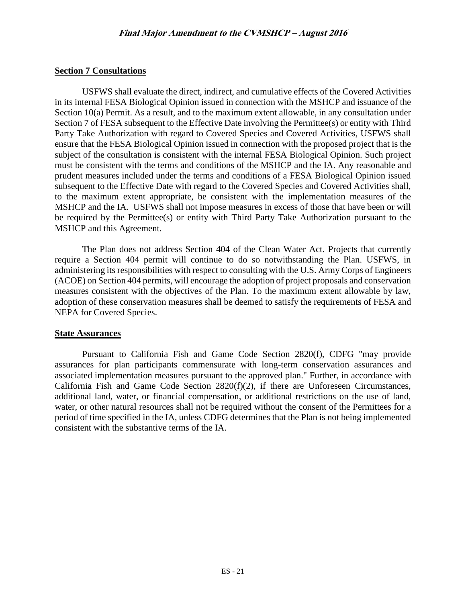## **Section 7 Consultations**

USFWS shall evaluate the direct, indirect, and cumulative effects of the Covered Activities in its internal FESA Biological Opinion issued in connection with the MSHCP and issuance of the Section 10(a) Permit. As a result, and to the maximum extent allowable, in any consultation under Section 7 of FESA subsequent to the Effective Date involving the Permittee(s) or entity with Third Party Take Authorization with regard to Covered Species and Covered Activities, USFWS shall ensure that the FESA Biological Opinion issued in connection with the proposed project that is the subject of the consultation is consistent with the internal FESA Biological Opinion. Such project must be consistent with the terms and conditions of the MSHCP and the IA. Any reasonable and prudent measures included under the terms and conditions of a FESA Biological Opinion issued subsequent to the Effective Date with regard to the Covered Species and Covered Activities shall, to the maximum extent appropriate, be consistent with the implementation measures of the MSHCP and the IA. USFWS shall not impose measures in excess of those that have been or will be required by the Permittee(s) or entity with Third Party Take Authorization pursuant to the MSHCP and this Agreement.

The Plan does not address Section 404 of the Clean Water Act. Projects that currently require a Section 404 permit will continue to do so notwithstanding the Plan. USFWS, in administering its responsibilities with respect to consulting with the U.S. Army Corps of Engineers (ACOE) on Section 404 permits, will encourage the adoption of project proposals and conservation measures consistent with the objectives of the Plan. To the maximum extent allowable by law, adoption of these conservation measures shall be deemed to satisfy the requirements of FESA and NEPA for Covered Species.

#### **State Assurances**

Pursuant to California Fish and Game Code Section 2820(f), CDFG "may provide assurances for plan participants commensurate with long-term conservation assurances and associated implementation measures pursuant to the approved plan." Further, in accordance with California Fish and Game Code Section 2820(f)(2), if there are Unforeseen Circumstances, additional land, water, or financial compensation, or additional restrictions on the use of land, water, or other natural resources shall not be required without the consent of the Permittees for a period of time specified in the IA, unless CDFG determines that the Plan is not being implemented consistent with the substantive terms of the IA.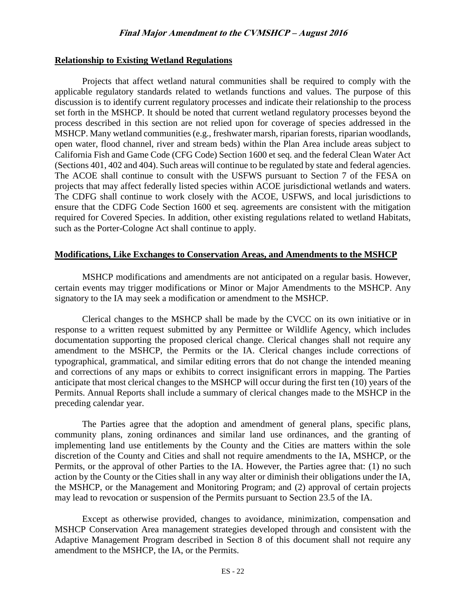#### **Relationship to Existing Wetland Regulations**

Projects that affect wetland natural communities shall be required to comply with the applicable regulatory standards related to wetlands functions and values. The purpose of this discussion is to identify current regulatory processes and indicate their relationship to the process set forth in the MSHCP. It should be noted that current wetland regulatory processes beyond the process described in this section are not relied upon for coverage of species addressed in the MSHCP. Many wetland communities (e.g., freshwater marsh, riparian forests, riparian woodlands, open water, flood channel, river and stream beds) within the Plan Area include areas subject to California Fish and Game Code (CFG Code) Section 1600 et seq. and the federal Clean Water Act (Sections 401, 402 and 404). Such areas will continue to be regulated by state and federal agencies. The ACOE shall continue to consult with the USFWS pursuant to Section 7 of the FESA on projects that may affect federally listed species within ACOE jurisdictional wetlands and waters. The CDFG shall continue to work closely with the ACOE, USFWS, and local jurisdictions to ensure that the CDFG Code Section 1600 et seq. agreements are consistent with the mitigation required for Covered Species. In addition, other existing regulations related to wetland Habitats, such as the Porter-Cologne Act shall continue to apply.

#### **Modifications, Like Exchanges to Conservation Areas, and Amendments to the MSHCP**

MSHCP modifications and amendments are not anticipated on a regular basis. However, certain events may trigger modifications or Minor or Major Amendments to the MSHCP. Any signatory to the IA may seek a modification or amendment to the MSHCP.

Clerical changes to the MSHCP shall be made by the CVCC on its own initiative or in response to a written request submitted by any Permittee or Wildlife Agency, which includes documentation supporting the proposed clerical change. Clerical changes shall not require any amendment to the MSHCP, the Permits or the IA. Clerical changes include corrections of typographical, grammatical, and similar editing errors that do not change the intended meaning and corrections of any maps or exhibits to correct insignificant errors in mapping. The Parties anticipate that most clerical changes to the MSHCP will occur during the first ten (10) years of the Permits. Annual Reports shall include a summary of clerical changes made to the MSHCP in the preceding calendar year.

The Parties agree that the adoption and amendment of general plans, specific plans, community plans, zoning ordinances and similar land use ordinances, and the granting of implementing land use entitlements by the County and the Cities are matters within the sole discretion of the County and Cities and shall not require amendments to the IA, MSHCP, or the Permits, or the approval of other Parties to the IA. However, the Parties agree that: (1) no such action by the County or the Cities shall in any way alter or diminish their obligations under the IA, the MSHCP, or the Management and Monitoring Program; and (2) approval of certain projects may lead to revocation or suspension of the Permits pursuant to Section 23.5 of the IA.

Except as otherwise provided, changes to avoidance, minimization, compensation and MSHCP Conservation Area management strategies developed through and consistent with the Adaptive Management Program described in Section 8 of this document shall not require any amendment to the MSHCP, the IA, or the Permits.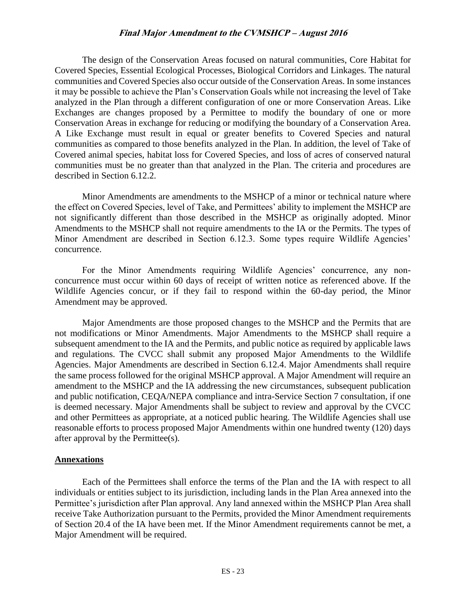The design of the Conservation Areas focused on natural communities, Core Habitat for Covered Species, Essential Ecological Processes, Biological Corridors and Linkages. The natural communities and Covered Species also occur outside of the Conservation Areas. In some instances it may be possible to achieve the Plan's Conservation Goals while not increasing the level of Take analyzed in the Plan through a different configuration of one or more Conservation Areas. Like Exchanges are changes proposed by a Permittee to modify the boundary of one or more Conservation Areas in exchange for reducing or modifying the boundary of a Conservation Area. A Like Exchange must result in equal or greater benefits to Covered Species and natural communities as compared to those benefits analyzed in the Plan. In addition, the level of Take of Covered animal species, habitat loss for Covered Species, and loss of acres of conserved natural communities must be no greater than that analyzed in the Plan. The criteria and procedures are described in Section 6.12.2.

Minor Amendments are amendments to the MSHCP of a minor or technical nature where the effect on Covered Species, level of Take, and Permittees' ability to implement the MSHCP are not significantly different than those described in the MSHCP as originally adopted. Minor Amendments to the MSHCP shall not require amendments to the IA or the Permits. The types of Minor Amendment are described in Section 6.12.3. Some types require Wildlife Agencies' concurrence.

For the Minor Amendments requiring Wildlife Agencies' concurrence, any nonconcurrence must occur within 60 days of receipt of written notice as referenced above. If the Wildlife Agencies concur, or if they fail to respond within the 60-day period, the Minor Amendment may be approved.

Major Amendments are those proposed changes to the MSHCP and the Permits that are not modifications or Minor Amendments. Major Amendments to the MSHCP shall require a subsequent amendment to the IA and the Permits, and public notice as required by applicable laws and regulations. The CVCC shall submit any proposed Major Amendments to the Wildlife Agencies. Major Amendments are described in Section 6.12.4. Major Amendments shall require the same process followed for the original MSHCP approval. A Major Amendment will require an amendment to the MSHCP and the IA addressing the new circumstances, subsequent publication and public notification, CEQA/NEPA compliance and intra-Service Section 7 consultation, if one is deemed necessary. Major Amendments shall be subject to review and approval by the CVCC and other Permittees as appropriate, at a noticed public hearing. The Wildlife Agencies shall use reasonable efforts to process proposed Major Amendments within one hundred twenty (120) days after approval by the Permittee(s).

#### **Annexations**

Each of the Permittees shall enforce the terms of the Plan and the IA with respect to all individuals or entities subject to its jurisdiction, including lands in the Plan Area annexed into the Permittee's jurisdiction after Plan approval. Any land annexed within the MSHCP Plan Area shall receive Take Authorization pursuant to the Permits, provided the Minor Amendment requirements of Section 20.4 of the IA have been met. If the Minor Amendment requirements cannot be met, a Major Amendment will be required.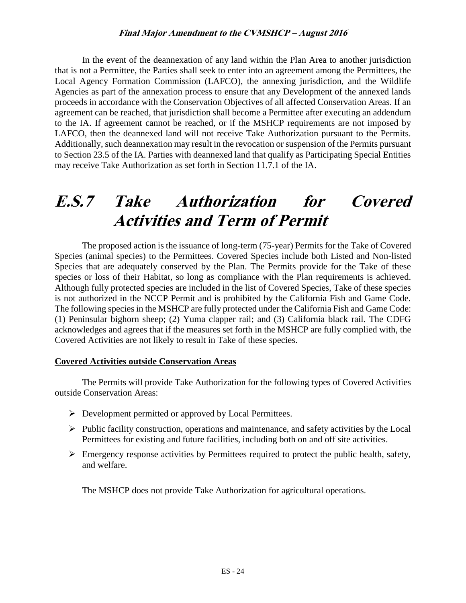In the event of the deannexation of any land within the Plan Area to another jurisdiction that is not a Permittee, the Parties shall seek to enter into an agreement among the Permittees, the Local Agency Formation Commission (LAFCO), the annexing jurisdiction, and the Wildlife Agencies as part of the annexation process to ensure that any Development of the annexed lands proceeds in accordance with the Conservation Objectives of all affected Conservation Areas. If an agreement can be reached, that jurisdiction shall become a Permittee after executing an addendum to the IA. If agreement cannot be reached, or if the MSHCP requirements are not imposed by LAFCO, then the deannexed land will not receive Take Authorization pursuant to the Permits. Additionally, such deannexation may result in the revocation or suspension of the Permits pursuant to Section 23.5 of the IA. Parties with deannexed land that qualify as Participating Special Entities may receive Take Authorization as set forth in Section 11.7.1 of the IA.

# **E.S.7 Take Authorization for Covered Activities and Term of Permit**

The proposed action is the issuance of long-term (75-year) Permits for the Take of Covered Species (animal species) to the Permittees. Covered Species include both Listed and Non-listed Species that are adequately conserved by the Plan. The Permits provide for the Take of these species or loss of their Habitat, so long as compliance with the Plan requirements is achieved. Although fully protected species are included in the list of Covered Species, Take of these species is not authorized in the NCCP Permit and is prohibited by the California Fish and Game Code. The following species in the MSHCP are fully protected under the California Fish and Game Code: (1) Peninsular bighorn sheep; (2) Yuma clapper rail; and (3) California black rail. The CDFG acknowledges and agrees that if the measures set forth in the MSHCP are fully complied with, the Covered Activities are not likely to result in Take of these species.

#### **Covered Activities outside Conservation Areas**

The Permits will provide Take Authorization for the following types of Covered Activities outside Conservation Areas:

- $\triangleright$  Development permitted or approved by Local Permittees.
- $\triangleright$  Public facility construction, operations and maintenance, and safety activities by the Local Permittees for existing and future facilities, including both on and off site activities.
- $\triangleright$  Emergency response activities by Permittees required to protect the public health, safety, and welfare.

The MSHCP does not provide Take Authorization for agricultural operations.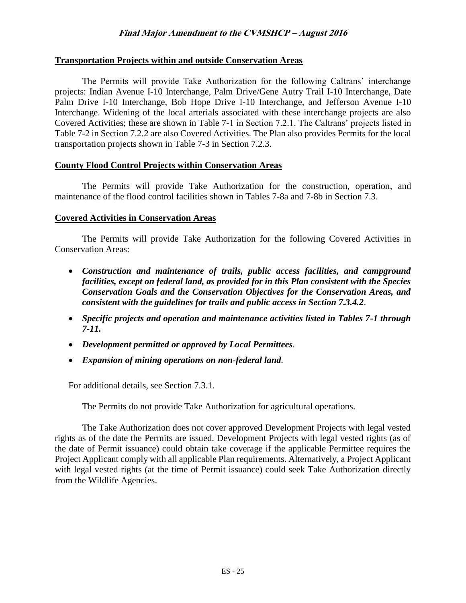#### **Transportation Projects within and outside Conservation Areas**

The Permits will provide Take Authorization for the following Caltrans' interchange projects: Indian Avenue I-10 Interchange, Palm Drive/Gene Autry Trail I-10 Interchange, Date Palm Drive I-10 Interchange, Bob Hope Drive I-10 Interchange, and Jefferson Avenue I-10 Interchange. Widening of the local arterials associated with these interchange projects are also Covered Activities; these are shown in Table 7-1 in Section 7.2.1. The Caltrans' projects listed in Table 7-2 in Section 7.2.2 are also Covered Activities. The Plan also provides Permits for the local transportation projects shown in Table 7-3 in Section 7.2.3.

#### **County Flood Control Projects within Conservation Areas**

The Permits will provide Take Authorization for the construction, operation, and maintenance of the flood control facilities shown in Tables 7-8a and 7-8b in Section 7.3.

#### **Covered Activities in Conservation Areas**

The Permits will provide Take Authorization for the following Covered Activities in Conservation Areas:

- *Construction and maintenance of trails, public access facilities, and campground facilities, except on federal land, as provided for in this Plan consistent with the Species Conservation Goals and the Conservation Objectives for the Conservation Areas, and consistent with the guidelines for trails and public access in Section 7.3.4.2*.
- *Specific projects and operation and maintenance activities listed in Tables 7-1 through 7-11.*
- *Development permitted or approved by Local Permittees.*
- *Expansion of mining operations on non-federal land.*

For additional details, see Section 7.3.1.

The Permits do not provide Take Authorization for agricultural operations.

The Take Authorization does not cover approved Development Projects with legal vested rights as of the date the Permits are issued. Development Projects with legal vested rights (as of the date of Permit issuance) could obtain take coverage if the applicable Permittee requires the Project Applicant comply with all applicable Plan requirements. Alternatively, a Project Applicant with legal vested rights (at the time of Permit issuance) could seek Take Authorization directly from the Wildlife Agencies.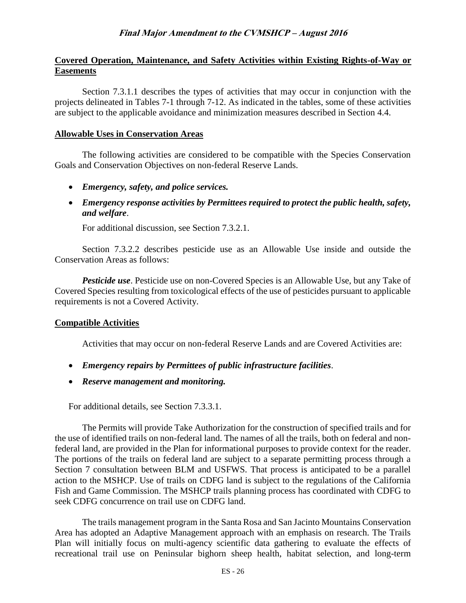## **Covered Operation, Maintenance, and Safety Activities within Existing Rights-of-Way or Easements**

Section 7.3.1.1 describes the types of activities that may occur in conjunction with the projects delineated in Tables 7-1 through 7-12. As indicated in the tables, some of these activities are subject to the applicable avoidance and minimization measures described in Section 4.4.

#### **Allowable Uses in Conservation Areas**

The following activities are considered to be compatible with the Species Conservation Goals and Conservation Objectives on non-federal Reserve Lands.

- *Emergency, safety, and police services.*
- *Emergency response activities by Permittees required to protect the public health, safety, and welfare*.

For additional discussion, see Section 7.3.2.1.

Section 7.3.2.2 describes pesticide use as an Allowable Use inside and outside the Conservation Areas as follows:

*Pesticide use*. Pesticide use on non-Covered Species is an Allowable Use, but any Take of Covered Species resulting from toxicological effects of the use of pesticides pursuant to applicable requirements is not a Covered Activity.

#### **Compatible Activities**

Activities that may occur on non-federal Reserve Lands and are Covered Activities are:

- *Emergency repairs by Permittees of public infrastructure facilities*.
- *Reserve management and monitoring.*

For additional details, see Section 7.3.3.1.

The Permits will provide Take Authorization for the construction of specified trails and for the use of identified trails on non-federal land. The names of all the trails, both on federal and nonfederal land, are provided in the Plan for informational purposes to provide context for the reader. The portions of the trails on federal land are subject to a separate permitting process through a Section 7 consultation between BLM and USFWS. That process is anticipated to be a parallel action to the MSHCP. Use of trails on CDFG land is subject to the regulations of the California Fish and Game Commission. The MSHCP trails planning process has coordinated with CDFG to seek CDFG concurrence on trail use on CDFG land.

The trails management program in the Santa Rosa and San Jacinto Mountains Conservation Area has adopted an Adaptive Management approach with an emphasis on research. The Trails Plan will initially focus on multi-agency scientific data gathering to evaluate the effects of recreational trail use on Peninsular bighorn sheep health, habitat selection, and long-term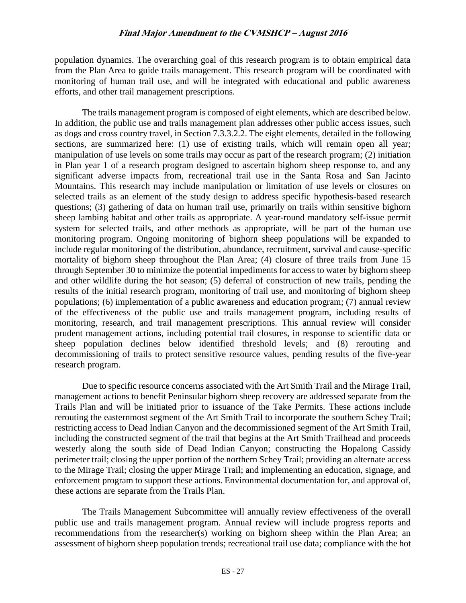population dynamics. The overarching goal of this research program is to obtain empirical data from the Plan Area to guide trails management. This research program will be coordinated with monitoring of human trail use, and will be integrated with educational and public awareness efforts, and other trail management prescriptions.

The trails management program is composed of eight elements, which are described below. In addition, the public use and trails management plan addresses other public access issues, such as dogs and cross country travel, in Section 7.3.3.2.2. The eight elements, detailed in the following sections, are summarized here: (1) use of existing trails, which will remain open all year; manipulation of use levels on some trails may occur as part of the research program; (2) initiation in Plan year 1 of a research program designed to ascertain bighorn sheep response to, and any significant adverse impacts from, recreational trail use in the Santa Rosa and San Jacinto Mountains. This research may include manipulation or limitation of use levels or closures on selected trails as an element of the study design to address specific hypothesis-based research questions; (3) gathering of data on human trail use, primarily on trails within sensitive bighorn sheep lambing habitat and other trails as appropriate. A year-round mandatory self-issue permit system for selected trails, and other methods as appropriate, will be part of the human use monitoring program. Ongoing monitoring of bighorn sheep populations will be expanded to include regular monitoring of the distribution, abundance, recruitment, survival and cause-specific mortality of bighorn sheep throughout the Plan Area; (4) closure of three trails from June 15 through September 30 to minimize the potential impediments for access to water by bighorn sheep and other wildlife during the hot season; (5) deferral of construction of new trails, pending the results of the initial research program, monitoring of trail use, and monitoring of bighorn sheep populations; (6) implementation of a public awareness and education program; (7) annual review of the effectiveness of the public use and trails management program, including results of monitoring, research, and trail management prescriptions. This annual review will consider prudent management actions, including potential trail closures, in response to scientific data or sheep population declines below identified threshold levels; and (8) rerouting and decommissioning of trails to protect sensitive resource values, pending results of the five-year research program.

Due to specific resource concerns associated with the Art Smith Trail and the Mirage Trail, management actions to benefit Peninsular bighorn sheep recovery are addressed separate from the Trails Plan and will be initiated prior to issuance of the Take Permits. These actions include rerouting the easternmost segment of the Art Smith Trail to incorporate the southern Schey Trail; restricting access to Dead Indian Canyon and the decommissioned segment of the Art Smith Trail, including the constructed segment of the trail that begins at the Art Smith Trailhead and proceeds westerly along the south side of Dead Indian Canyon; constructing the Hopalong Cassidy perimeter trail; closing the upper portion of the northern Schey Trail; providing an alternate access to the Mirage Trail; closing the upper Mirage Trail; and implementing an education, signage, and enforcement program to support these actions. Environmental documentation for, and approval of, these actions are separate from the Trails Plan.

The Trails Management Subcommittee will annually review effectiveness of the overall public use and trails management program. Annual review will include progress reports and recommendations from the researcher(s) working on bighorn sheep within the Plan Area; an assessment of bighorn sheep population trends; recreational trail use data; compliance with the hot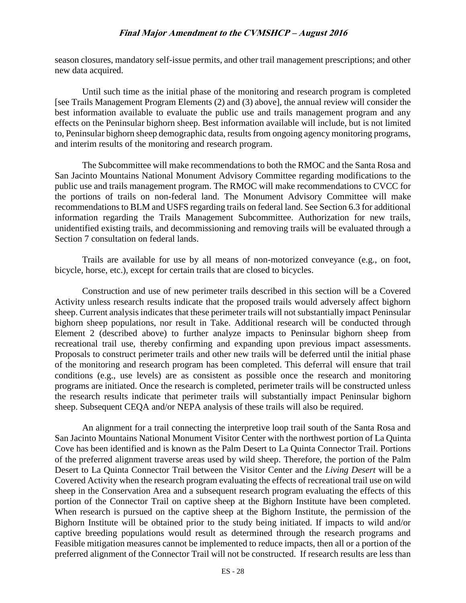season closures, mandatory self-issue permits, and other trail management prescriptions; and other new data acquired.

Until such time as the initial phase of the monitoring and research program is completed [see Trails Management Program Elements (2) and (3) above], the annual review will consider the best information available to evaluate the public use and trails management program and any effects on the Peninsular bighorn sheep. Best information available will include, but is not limited to, Peninsular bighorn sheep demographic data, results from ongoing agency monitoring programs, and interim results of the monitoring and research program.

The Subcommittee will make recommendations to both the RMOC and the Santa Rosa and San Jacinto Mountains National Monument Advisory Committee regarding modifications to the public use and trails management program. The RMOC will make recommendations to CVCC for the portions of trails on non-federal land. The Monument Advisory Committee will make recommendations to BLM and USFS regarding trails on federal land. See Section 6.3 for additional information regarding the Trails Management Subcommittee. Authorization for new trails, unidentified existing trails, and decommissioning and removing trails will be evaluated through a Section 7 consultation on federal lands.

Trails are available for use by all means of non-motorized conveyance (e.g., on foot, bicycle, horse, etc.), except for certain trails that are closed to bicycles.

Construction and use of new perimeter trails described in this section will be a Covered Activity unless research results indicate that the proposed trails would adversely affect bighorn sheep. Current analysis indicates that these perimeter trails will not substantially impact Peninsular bighorn sheep populations, nor result in Take. Additional research will be conducted through Element 2 (described above) to further analyze impacts to Peninsular bighorn sheep from recreational trail use, thereby confirming and expanding upon previous impact assessments. Proposals to construct perimeter trails and other new trails will be deferred until the initial phase of the monitoring and research program has been completed. This deferral will ensure that trail conditions (e.g., use levels) are as consistent as possible once the research and monitoring programs are initiated. Once the research is completed, perimeter trails will be constructed unless the research results indicate that perimeter trails will substantially impact Peninsular bighorn sheep. Subsequent CEQA and/or NEPA analysis of these trails will also be required.

An alignment for a trail connecting the interpretive loop trail south of the Santa Rosa and San Jacinto Mountains National Monument Visitor Center with the northwest portion of La Quinta Cove has been identified and is known as the Palm Desert to La Quinta Connector Trail. Portions of the preferred alignment traverse areas used by wild sheep. Therefore, the portion of the Palm Desert to La Quinta Connector Trail between the Visitor Center and the *Living Desert* will be a Covered Activity when the research program evaluating the effects of recreational trail use on wild sheep in the Conservation Area and a subsequent research program evaluating the effects of this portion of the Connector Trail on captive sheep at the Bighorn Institute have been completed. When research is pursued on the captive sheep at the Bighorn Institute, the permission of the Bighorn Institute will be obtained prior to the study being initiated. If impacts to wild and/or captive breeding populations would result as determined through the research programs and Feasible mitigation measures cannot be implemented to reduce impacts, then all or a portion of the preferred alignment of the Connector Trail will not be constructed. If research results are less than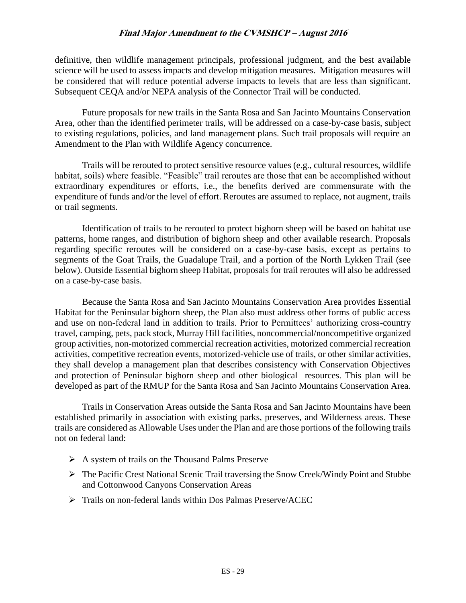definitive, then wildlife management principals, professional judgment, and the best available science will be used to assess impacts and develop mitigation measures. Mitigation measures will be considered that will reduce potential adverse impacts to levels that are less than significant. Subsequent CEQA and/or NEPA analysis of the Connector Trail will be conducted.

Future proposals for new trails in the Santa Rosa and San Jacinto Mountains Conservation Area, other than the identified perimeter trails, will be addressed on a case-by-case basis, subject to existing regulations, policies, and land management plans. Such trail proposals will require an Amendment to the Plan with Wildlife Agency concurrence.

Trails will be rerouted to protect sensitive resource values (e.g., cultural resources, wildlife habitat, soils) where feasible. "Feasible" trail reroutes are those that can be accomplished without extraordinary expenditures or efforts, i.e., the benefits derived are commensurate with the expenditure of funds and/or the level of effort. Reroutes are assumed to replace, not augment, trails or trail segments.

Identification of trails to be rerouted to protect bighorn sheep will be based on habitat use patterns, home ranges, and distribution of bighorn sheep and other available research. Proposals regarding specific reroutes will be considered on a case-by-case basis, except as pertains to segments of the Goat Trails, the Guadalupe Trail, and a portion of the North Lykken Trail (see below). Outside Essential bighorn sheep Habitat, proposals for trail reroutes will also be addressed on a case-by-case basis.

Because the Santa Rosa and San Jacinto Mountains Conservation Area provides Essential Habitat for the Peninsular bighorn sheep, the Plan also must address other forms of public access and use on non-federal land in addition to trails. Prior to Permittees' authorizing cross-country travel, camping, pets, pack stock, Murray Hill facilities, noncommercial/noncompetitive organized group activities, non-motorized commercial recreation activities, motorized commercial recreation activities, competitive recreation events, motorized-vehicle use of trails, or other similar activities, they shall develop a management plan that describes consistency with Conservation Objectives and protection of Peninsular bighorn sheep and other biological resources. This plan will be developed as part of the RMUP for the Santa Rosa and San Jacinto Mountains Conservation Area.

Trails in Conservation Areas outside the Santa Rosa and San Jacinto Mountains have been established primarily in association with existing parks, preserves, and Wilderness areas. These trails are considered as Allowable Uses under the Plan and are those portions of the following trails not on federal land:

- $\triangleright$  A system of trails on the Thousand Palms Preserve
- The Pacific Crest National Scenic Trail traversing the Snow Creek/Windy Point and Stubbe and Cottonwood Canyons Conservation Areas
- Trails on non-federal lands within Dos Palmas Preserve/ACEC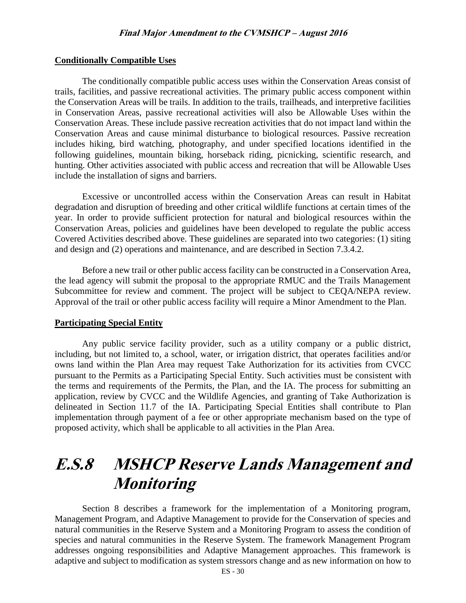#### **Conditionally Compatible Uses**

The conditionally compatible public access uses within the Conservation Areas consist of trails, facilities, and passive recreational activities. The primary public access component within the Conservation Areas will be trails. In addition to the trails, trailheads, and interpretive facilities in Conservation Areas, passive recreational activities will also be Allowable Uses within the Conservation Areas. These include passive recreation activities that do not impact land within the Conservation Areas and cause minimal disturbance to biological resources. Passive recreation includes hiking, bird watching, photography, and under specified locations identified in the following guidelines, mountain biking, horseback riding, picnicking, scientific research, and hunting. Other activities associated with public access and recreation that will be Allowable Uses include the installation of signs and barriers.

Excessive or uncontrolled access within the Conservation Areas can result in Habitat degradation and disruption of breeding and other critical wildlife functions at certain times of the year. In order to provide sufficient protection for natural and biological resources within the Conservation Areas, policies and guidelines have been developed to regulate the public access Covered Activities described above. These guidelines are separated into two categories: (1) siting and design and (2) operations and maintenance, and are described in Section 7.3.4.2.

Before a new trail or other public access facility can be constructed in a Conservation Area, the lead agency will submit the proposal to the appropriate RMUC and the Trails Management Subcommittee for review and comment. The project will be subject to CEQA/NEPA review. Approval of the trail or other public access facility will require a Minor Amendment to the Plan.

#### **Participating Special Entity**

Any public service facility provider, such as a utility company or a public district, including, but not limited to, a school, water, or irrigation district, that operates facilities and/or owns land within the Plan Area may request Take Authorization for its activities from CVCC pursuant to the Permits as a Participating Special Entity. Such activities must be consistent with the terms and requirements of the Permits, the Plan, and the IA. The process for submitting an application, review by CVCC and the Wildlife Agencies, and granting of Take Authorization is delineated in Section 11.7 of the IA. Participating Special Entities shall contribute to Plan implementation through payment of a fee or other appropriate mechanism based on the type of proposed activity, which shall be applicable to all activities in the Plan Area.

## **E.S.8 MSHCP Reserve Lands Management and Monitoring**

Section 8 describes a framework for the implementation of a Monitoring program, Management Program, and Adaptive Management to provide for the Conservation of species and natural communities in the Reserve System and a Monitoring Program to assess the condition of species and natural communities in the Reserve System. The framework Management Program addresses ongoing responsibilities and Adaptive Management approaches. This framework is adaptive and subject to modification as system stressors change and as new information on how to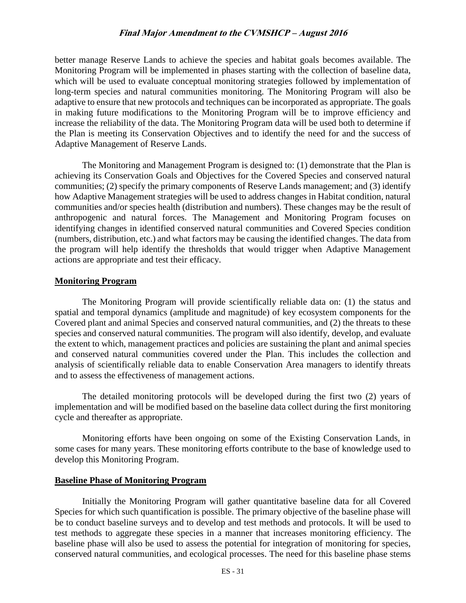better manage Reserve Lands to achieve the species and habitat goals becomes available. The Monitoring Program will be implemented in phases starting with the collection of baseline data, which will be used to evaluate conceptual monitoring strategies followed by implementation of long-term species and natural communities monitoring. The Monitoring Program will also be adaptive to ensure that new protocols and techniques can be incorporated as appropriate. The goals in making future modifications to the Monitoring Program will be to improve efficiency and increase the reliability of the data. The Monitoring Program data will be used both to determine if the Plan is meeting its Conservation Objectives and to identify the need for and the success of Adaptive Management of Reserve Lands.

The Monitoring and Management Program is designed to: (1) demonstrate that the Plan is achieving its Conservation Goals and Objectives for the Covered Species and conserved natural communities; (2) specify the primary components of Reserve Lands management; and (3) identify how Adaptive Management strategies will be used to address changes in Habitat condition, natural communities and/or species health (distribution and numbers). These changes may be the result of anthropogenic and natural forces. The Management and Monitoring Program focuses on identifying changes in identified conserved natural communities and Covered Species condition (numbers, distribution, etc.) and what factors may be causing the identified changes. The data from the program will help identify the thresholds that would trigger when Adaptive Management actions are appropriate and test their efficacy.

#### **Monitoring Program**

The Monitoring Program will provide scientifically reliable data on: (1) the status and spatial and temporal dynamics (amplitude and magnitude) of key ecosystem components for the Covered plant and animal Species and conserved natural communities, and (2) the threats to these species and conserved natural communities. The program will also identify, develop, and evaluate the extent to which, management practices and policies are sustaining the plant and animal species and conserved natural communities covered under the Plan. This includes the collection and analysis of scientifically reliable data to enable Conservation Area managers to identify threats and to assess the effectiveness of management actions.

The detailed monitoring protocols will be developed during the first two (2) years of implementation and will be modified based on the baseline data collect during the first monitoring cycle and thereafter as appropriate.

Monitoring efforts have been ongoing on some of the Existing Conservation Lands, in some cases for many years. These monitoring efforts contribute to the base of knowledge used to develop this Monitoring Program.

#### **Baseline Phase of Monitoring Program**

Initially the Monitoring Program will gather quantitative baseline data for all Covered Species for which such quantification is possible. The primary objective of the baseline phase will be to conduct baseline surveys and to develop and test methods and protocols. It will be used to test methods to aggregate these species in a manner that increases monitoring efficiency. The baseline phase will also be used to assess the potential for integration of monitoring for species, conserved natural communities, and ecological processes. The need for this baseline phase stems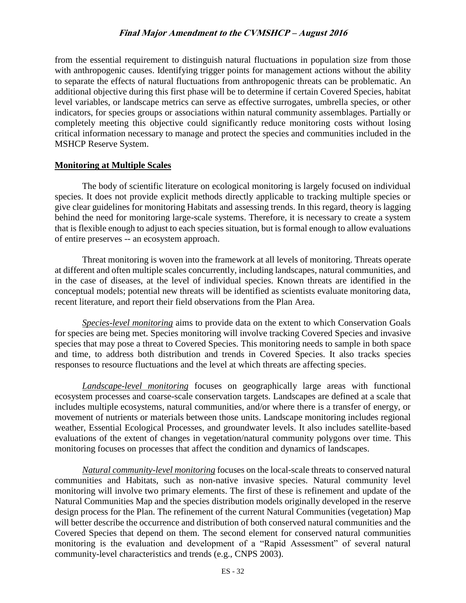from the essential requirement to distinguish natural fluctuations in population size from those with anthropogenic causes. Identifying trigger points for management actions without the ability to separate the effects of natural fluctuations from anthropogenic threats can be problematic. An additional objective during this first phase will be to determine if certain Covered Species, habitat level variables, or landscape metrics can serve as effective surrogates, umbrella species, or other indicators, for species groups or associations within natural community assemblages. Partially or completely meeting this objective could significantly reduce monitoring costs without losing critical information necessary to manage and protect the species and communities included in the MSHCP Reserve System.

#### **Monitoring at Multiple Scales**

The body of scientific literature on ecological monitoring is largely focused on individual species. It does not provide explicit methods directly applicable to tracking multiple species or give clear guidelines for monitoring Habitats and assessing trends. In this regard, theory is lagging behind the need for monitoring large-scale systems. Therefore, it is necessary to create a system that is flexible enough to adjust to each species situation, but is formal enough to allow evaluations of entire preserves -- an ecosystem approach.

Threat monitoring is woven into the framework at all levels of monitoring. Threats operate at different and often multiple scales concurrently, including landscapes, natural communities, and in the case of diseases, at the level of individual species. Known threats are identified in the conceptual models; potential new threats will be identified as scientists evaluate monitoring data, recent literature, and report their field observations from the Plan Area.

*Species-level monitoring* aims to provide data on the extent to which Conservation Goals for species are being met. Species monitoring will involve tracking Covered Species and invasive species that may pose a threat to Covered Species. This monitoring needs to sample in both space and time, to address both distribution and trends in Covered Species. It also tracks species responses to resource fluctuations and the level at which threats are affecting species.

*Landscape-level monitoring* focuses on geographically large areas with functional ecosystem processes and coarse-scale conservation targets. Landscapes are defined at a scale that includes multiple ecosystems, natural communities, and/or where there is a transfer of energy, or movement of nutrients or materials between those units. Landscape monitoring includes regional weather, Essential Ecological Processes, and groundwater levels. It also includes satellite-based evaluations of the extent of changes in vegetation/natural community polygons over time. This monitoring focuses on processes that affect the condition and dynamics of landscapes.

*Natural community-level monitoring* focuses on the local-scale threats to conserved natural communities and Habitats, such as non-native invasive species. Natural community level monitoring will involve two primary elements. The first of these is refinement and update of the Natural Communities Map and the species distribution models originally developed in the reserve design process for the Plan. The refinement of the current Natural Communities (vegetation) Map will better describe the occurrence and distribution of both conserved natural communities and the Covered Species that depend on them. The second element for conserved natural communities monitoring is the evaluation and development of a "Rapid Assessment" of several natural community-level characteristics and trends (e.g., CNPS 2003).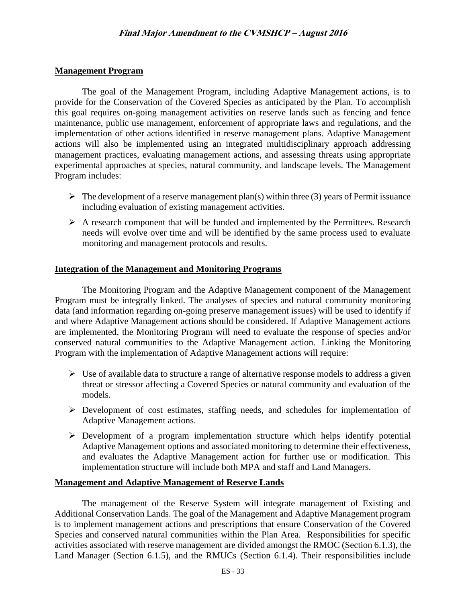### **Management Program**

The goal of the Management Program, including Adaptive Management actions, is to provide for the Conservation of the Covered Species as anticipated by the Plan. To accomplish this goal requires on-going management activities on reserve lands such as fencing and fence maintenance, public use management, enforcement of appropriate laws and regulations, and the implementation of other actions identified in reserve management plans. Adaptive Management actions will also be implemented using an integrated multidisciplinary approach addressing management practices, evaluating management actions, and assessing threats using appropriate experimental approaches at species, natural community, and landscape levels. The Management Program includes:

- $\triangleright$  The development of a reserve management plan(s) within three (3) years of Permit issuance including evaluation of existing management activities.
- $\triangleright$  A research component that will be funded and implemented by the Permittees. Research needs will evolve over time and will be identified by the same process used to evaluate monitoring and management protocols and results.

## **Integration of the Management and Monitoring Programs**

The Monitoring Program and the Adaptive Management component of the Management Program must be integrally linked. The analyses of species and natural community monitoring data (and information regarding on-going preserve management issues) will be used to identify if and where Adaptive Management actions should be considered. If Adaptive Management actions are implemented, the Monitoring Program will need to evaluate the response of species and/or conserved natural communities to the Adaptive Management action. Linking the Monitoring Program with the implementation of Adaptive Management actions will require:

- $\triangleright$  Use of available data to structure a range of alternative response models to address a given threat or stressor affecting a Covered Species or natural community and evaluation of the models.
- Development of cost estimates, staffing needs, and schedules for implementation of Adaptive Management actions.
- Development of a program implementation structure which helps identify potential Adaptive Management options and associated monitoring to determine their effectiveness, and evaluates the Adaptive Management action for further use or modification. This implementation structure will include both MPA and staff and Land Managers.

#### **Management and Adaptive Management of Reserve Lands**

The management of the Reserve System will integrate management of Existing and Additional Conservation Lands. The goal of the Management and Adaptive Management program is to implement management actions and prescriptions that ensure Conservation of the Covered Species and conserved natural communities within the Plan Area. Responsibilities for specific activities associated with reserve management are divided amongst the RMOC (Section 6.1.3), the Land Manager (Section 6.1.5), and the RMUCs (Section 6.1.4). Their responsibilities include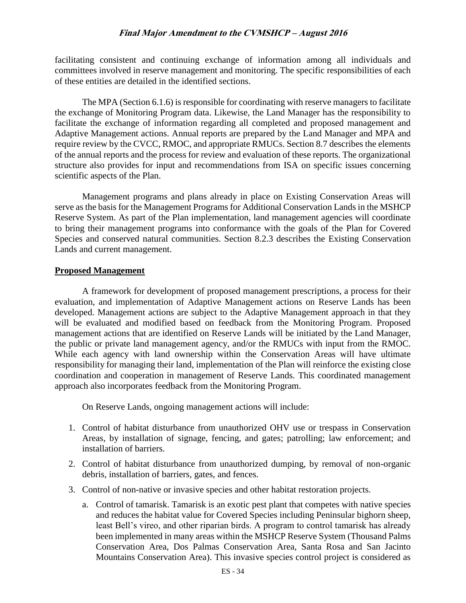facilitating consistent and continuing exchange of information among all individuals and committees involved in reserve management and monitoring. The specific responsibilities of each of these entities are detailed in the identified sections.

The MPA (Section 6.1.6) is responsible for coordinating with reserve managers to facilitate the exchange of Monitoring Program data. Likewise, the Land Manager has the responsibility to facilitate the exchange of information regarding all completed and proposed management and Adaptive Management actions. Annual reports are prepared by the Land Manager and MPA and require review by the CVCC, RMOC, and appropriate RMUCs. Section 8.7 describes the elements of the annual reports and the process for review and evaluation of these reports. The organizational structure also provides for input and recommendations from ISA on specific issues concerning scientific aspects of the Plan.

Management programs and plans already in place on Existing Conservation Areas will serve as the basis for the Management Programs for Additional Conservation Lands in the MSHCP Reserve System. As part of the Plan implementation, land management agencies will coordinate to bring their management programs into conformance with the goals of the Plan for Covered Species and conserved natural communities. Section 8.2.3 describes the Existing Conservation Lands and current management.

#### **Proposed Management**

A framework for development of proposed management prescriptions, a process for their evaluation, and implementation of Adaptive Management actions on Reserve Lands has been developed. Management actions are subject to the Adaptive Management approach in that they will be evaluated and modified based on feedback from the Monitoring Program. Proposed management actions that are identified on Reserve Lands will be initiated by the Land Manager, the public or private land management agency, and/or the RMUCs with input from the RMOC. While each agency with land ownership within the Conservation Areas will have ultimate responsibility for managing their land, implementation of the Plan will reinforce the existing close coordination and cooperation in management of Reserve Lands. This coordinated management approach also incorporates feedback from the Monitoring Program.

On Reserve Lands, ongoing management actions will include:

- 1. Control of habitat disturbance from unauthorized OHV use or trespass in Conservation Areas, by installation of signage, fencing, and gates; patrolling; law enforcement; and installation of barriers.
- 2. Control of habitat disturbance from unauthorized dumping, by removal of non-organic debris, installation of barriers, gates, and fences.
- 3. Control of non-native or invasive species and other habitat restoration projects.
	- a. Control of tamarisk. Tamarisk is an exotic pest plant that competes with native species and reduces the habitat value for Covered Species including Peninsular bighorn sheep, least Bell's vireo, and other riparian birds. A program to control tamarisk has already been implemented in many areas within the MSHCP Reserve System (Thousand Palms Conservation Area, Dos Palmas Conservation Area, Santa Rosa and San Jacinto Mountains Conservation Area). This invasive species control project is considered as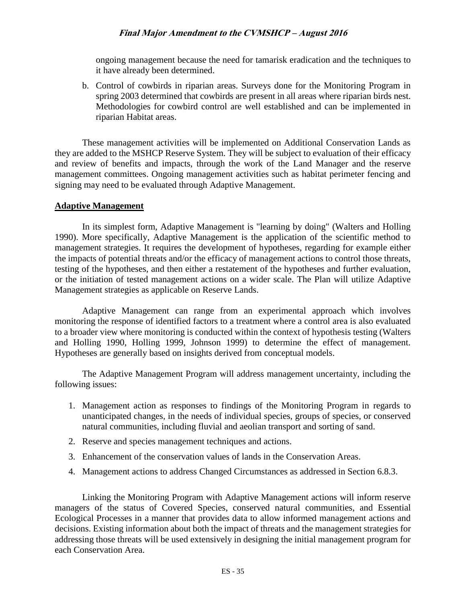ongoing management because the need for tamarisk eradication and the techniques to it have already been determined.

b. Control of cowbirds in riparian areas. Surveys done for the Monitoring Program in spring 2003 determined that cowbirds are present in all areas where riparian birds nest. Methodologies for cowbird control are well established and can be implemented in riparian Habitat areas.

These management activities will be implemented on Additional Conservation Lands as they are added to the MSHCP Reserve System. They will be subject to evaluation of their efficacy and review of benefits and impacts, through the work of the Land Manager and the reserve management committees. Ongoing management activities such as habitat perimeter fencing and signing may need to be evaluated through Adaptive Management.

#### **Adaptive Management**

In its simplest form, Adaptive Management is "learning by doing" (Walters and Holling 1990). More specifically, Adaptive Management is the application of the scientific method to management strategies. It requires the development of hypotheses, regarding for example either the impacts of potential threats and/or the efficacy of management actions to control those threats, testing of the hypotheses, and then either a restatement of the hypotheses and further evaluation, or the initiation of tested management actions on a wider scale. The Plan will utilize Adaptive Management strategies as applicable on Reserve Lands.

Adaptive Management can range from an experimental approach which involves monitoring the response of identified factors to a treatment where a control area is also evaluated to a broader view where monitoring is conducted within the context of hypothesis testing (Walters and Holling 1990, Holling 1999, Johnson 1999) to determine the effect of management. Hypotheses are generally based on insights derived from conceptual models.

The Adaptive Management Program will address management uncertainty, including the following issues:

- 1. Management action as responses to findings of the Monitoring Program in regards to unanticipated changes, in the needs of individual species, groups of species, or conserved natural communities, including fluvial and aeolian transport and sorting of sand.
- 2. Reserve and species management techniques and actions.
- 3. Enhancement of the conservation values of lands in the Conservation Areas.
- 4. Management actions to address Changed Circumstances as addressed in Section 6.8.3.

Linking the Monitoring Program with Adaptive Management actions will inform reserve managers of the status of Covered Species, conserved natural communities, and Essential Ecological Processes in a manner that provides data to allow informed management actions and decisions. Existing information about both the impact of threats and the management strategies for addressing those threats will be used extensively in designing the initial management program for each Conservation Area.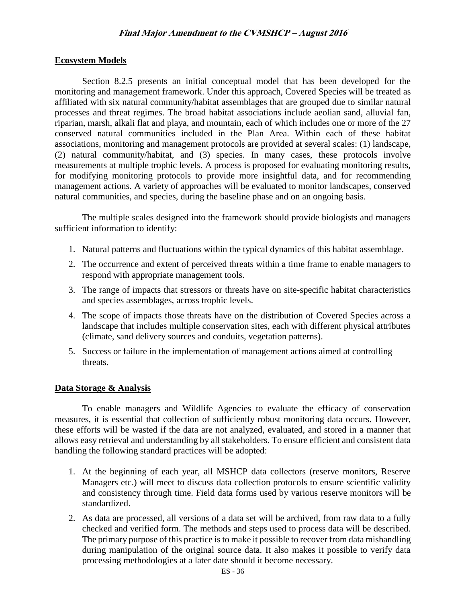#### **Ecosystem Models**

Section 8.2.5 presents an initial conceptual model that has been developed for the monitoring and management framework. Under this approach, Covered Species will be treated as affiliated with six natural community/habitat assemblages that are grouped due to similar natural processes and threat regimes. The broad habitat associations include aeolian sand, alluvial fan, riparian, marsh, alkali flat and playa, and mountain, each of which includes one or more of the 27 conserved natural communities included in the Plan Area. Within each of these habitat associations, monitoring and management protocols are provided at several scales: (1) landscape, (2) natural community/habitat, and (3) species. In many cases, these protocols involve measurements at multiple trophic levels. A process is proposed for evaluating monitoring results, for modifying monitoring protocols to provide more insightful data, and for recommending management actions. A variety of approaches will be evaluated to monitor landscapes, conserved natural communities, and species, during the baseline phase and on an ongoing basis.

The multiple scales designed into the framework should provide biologists and managers sufficient information to identify:

- 1. Natural patterns and fluctuations within the typical dynamics of this habitat assemblage.
- 2. The occurrence and extent of perceived threats within a time frame to enable managers to respond with appropriate management tools.
- 3. The range of impacts that stressors or threats have on site-specific habitat characteristics and species assemblages, across trophic levels.
- 4. The scope of impacts those threats have on the distribution of Covered Species across a landscape that includes multiple conservation sites, each with different physical attributes (climate, sand delivery sources and conduits, vegetation patterns).
- 5. Success or failure in the implementation of management actions aimed at controlling threats.

#### **Data Storage & Analysis**

To enable managers and Wildlife Agencies to evaluate the efficacy of conservation measures, it is essential that collection of sufficiently robust monitoring data occurs. However, these efforts will be wasted if the data are not analyzed, evaluated, and stored in a manner that allows easy retrieval and understanding by all stakeholders. To ensure efficient and consistent data handling the following standard practices will be adopted:

- 1. At the beginning of each year, all MSHCP data collectors (reserve monitors, Reserve Managers etc.) will meet to discuss data collection protocols to ensure scientific validity and consistency through time. Field data forms used by various reserve monitors will be standardized.
- 2. As data are processed, all versions of a data set will be archived, from raw data to a fully checked and verified form. The methods and steps used to process data will be described. The primary purpose of this practice is to make it possible to recover from data mishandling during manipulation of the original source data. It also makes it possible to verify data processing methodologies at a later date should it become necessary.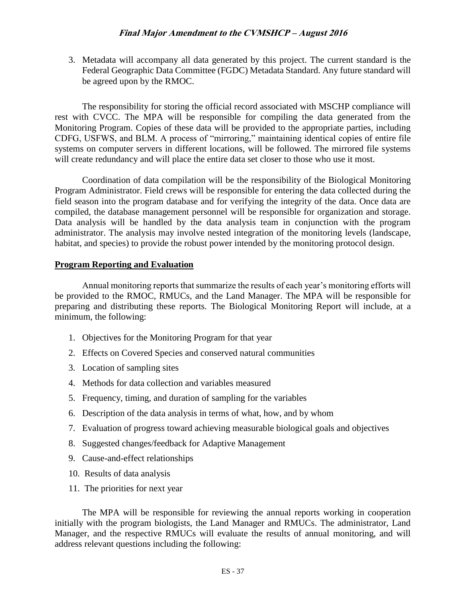3. Metadata will accompany all data generated by this project. The current standard is the Federal Geographic Data Committee (FGDC) Metadata Standard. Any future standard will be agreed upon by the RMOC.

The responsibility for storing the official record associated with MSCHP compliance will rest with CVCC. The MPA will be responsible for compiling the data generated from the Monitoring Program. Copies of these data will be provided to the appropriate parties, including CDFG, USFWS, and BLM. A process of "mirroring," maintaining identical copies of entire file systems on computer servers in different locations, will be followed. The mirrored file systems will create redundancy and will place the entire data set closer to those who use it most.

Coordination of data compilation will be the responsibility of the Biological Monitoring Program Administrator. Field crews will be responsible for entering the data collected during the field season into the program database and for verifying the integrity of the data. Once data are compiled, the database management personnel will be responsible for organization and storage. Data analysis will be handled by the data analysis team in conjunction with the program administrator. The analysis may involve nested integration of the monitoring levels (landscape, habitat, and species) to provide the robust power intended by the monitoring protocol design.

#### **Program Reporting and Evaluation**

Annual monitoring reports that summarize the results of each year's monitoring efforts will be provided to the RMOC, RMUCs, and the Land Manager. The MPA will be responsible for preparing and distributing these reports. The Biological Monitoring Report will include, at a minimum, the following:

- 1. Objectives for the Monitoring Program for that year
- 2. Effects on Covered Species and conserved natural communities
- 3. Location of sampling sites
- 4. Methods for data collection and variables measured
- 5. Frequency, timing, and duration of sampling for the variables
- 6. Description of the data analysis in terms of what, how, and by whom
- 7. Evaluation of progress toward achieving measurable biological goals and objectives
- 8. Suggested changes/feedback for Adaptive Management
- 9. Cause-and-effect relationships
- 10. Results of data analysis
- 11. The priorities for next year

The MPA will be responsible for reviewing the annual reports working in cooperation initially with the program biologists, the Land Manager and RMUCs. The administrator, Land Manager, and the respective RMUCs will evaluate the results of annual monitoring, and will address relevant questions including the following: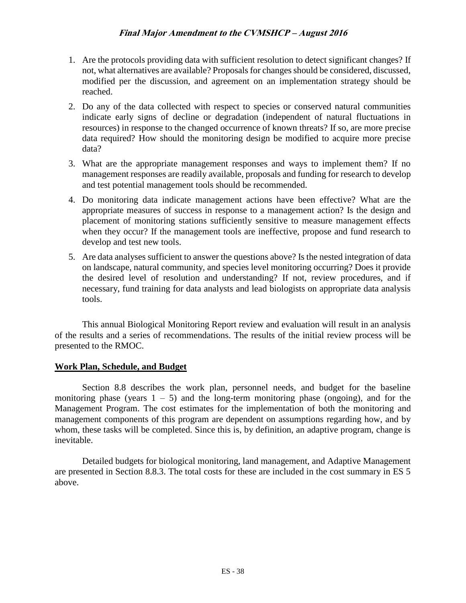- 1. Are the protocols providing data with sufficient resolution to detect significant changes? If not, what alternatives are available? Proposals for changes should be considered, discussed, modified per the discussion, and agreement on an implementation strategy should be reached.
- 2. Do any of the data collected with respect to species or conserved natural communities indicate early signs of decline or degradation (independent of natural fluctuations in resources) in response to the changed occurrence of known threats? If so, are more precise data required? How should the monitoring design be modified to acquire more precise data?
- 3. What are the appropriate management responses and ways to implement them? If no management responses are readily available, proposals and funding for research to develop and test potential management tools should be recommended.
- 4. Do monitoring data indicate management actions have been effective? What are the appropriate measures of success in response to a management action? Is the design and placement of monitoring stations sufficiently sensitive to measure management effects when they occur? If the management tools are ineffective, propose and fund research to develop and test new tools.
- 5. Are data analyses sufficient to answer the questions above? Is the nested integration of data on landscape, natural community, and species level monitoring occurring? Does it provide the desired level of resolution and understanding? If not, review procedures, and if necessary, fund training for data analysts and lead biologists on appropriate data analysis tools.

This annual Biological Monitoring Report review and evaluation will result in an analysis of the results and a series of recommendations. The results of the initial review process will be presented to the RMOC.

## **Work Plan, Schedule, and Budget**

Section 8.8 describes the work plan, personnel needs, and budget for the baseline monitoring phase (years  $1 - 5$ ) and the long-term monitoring phase (ongoing), and for the Management Program. The cost estimates for the implementation of both the monitoring and management components of this program are dependent on assumptions regarding how, and by whom, these tasks will be completed. Since this is, by definition, an adaptive program, change is inevitable.

Detailed budgets for biological monitoring, land management, and Adaptive Management are presented in Section 8.8.3. The total costs for these are included in the cost summary in ES 5 above.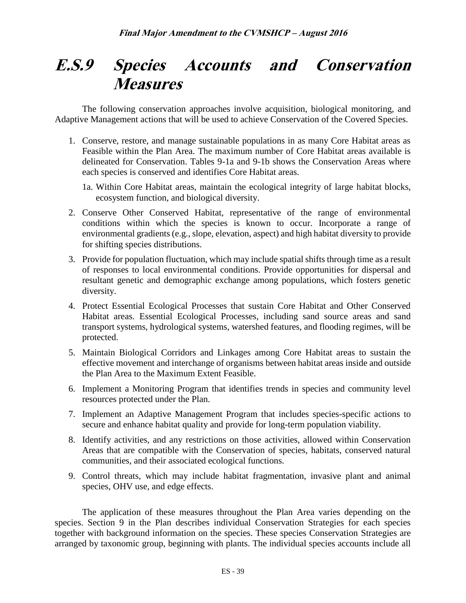## **E.S.9 Species Accounts and Conservation Measures**

The following conservation approaches involve acquisition, biological monitoring, and Adaptive Management actions that will be used to achieve Conservation of the Covered Species.

- 1. Conserve, restore, and manage sustainable populations in as many Core Habitat areas as Feasible within the Plan Area. The maximum number of Core Habitat areas available is delineated for Conservation. Tables 9-1a and 9-1b shows the Conservation Areas where each species is conserved and identifies Core Habitat areas.
	- 1a. Within Core Habitat areas, maintain the ecological integrity of large habitat blocks, ecosystem function, and biological diversity.
- 2. Conserve Other Conserved Habitat, representative of the range of environmental conditions within which the species is known to occur. Incorporate a range of environmental gradients (e.g., slope, elevation, aspect) and high habitat diversity to provide for shifting species distributions.
- 3. Provide for population fluctuation, which may include spatial shifts through time as a result of responses to local environmental conditions. Provide opportunities for dispersal and resultant genetic and demographic exchange among populations, which fosters genetic diversity.
- 4. Protect Essential Ecological Processes that sustain Core Habitat and Other Conserved Habitat areas. Essential Ecological Processes, including sand source areas and sand transport systems, hydrological systems, watershed features, and flooding regimes, will be protected.
- 5. Maintain Biological Corridors and Linkages among Core Habitat areas to sustain the effective movement and interchange of organisms between habitat areas inside and outside the Plan Area to the Maximum Extent Feasible.
- 6. Implement a Monitoring Program that identifies trends in species and community level resources protected under the Plan.
- 7. Implement an Adaptive Management Program that includes species-specific actions to secure and enhance habitat quality and provide for long-term population viability.
- 8. Identify activities, and any restrictions on those activities, allowed within Conservation Areas that are compatible with the Conservation of species, habitats, conserved natural communities, and their associated ecological functions.
- 9. Control threats, which may include habitat fragmentation, invasive plant and animal species, OHV use, and edge effects.

The application of these measures throughout the Plan Area varies depending on the species. Section 9 in the Plan describes individual Conservation Strategies for each species together with background information on the species. These species Conservation Strategies are arranged by taxonomic group, beginning with plants. The individual species accounts include all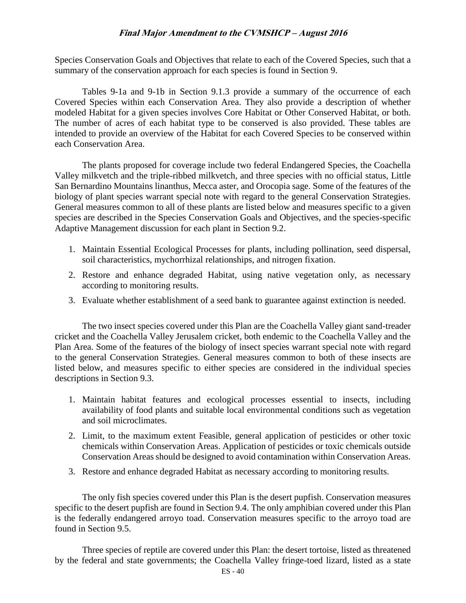Species Conservation Goals and Objectives that relate to each of the Covered Species, such that a summary of the conservation approach for each species is found in Section 9.

Tables 9-1a and 9-1b in Section 9.1.3 provide a summary of the occurrence of each Covered Species within each Conservation Area. They also provide a description of whether modeled Habitat for a given species involves Core Habitat or Other Conserved Habitat, or both. The number of acres of each habitat type to be conserved is also provided. These tables are intended to provide an overview of the Habitat for each Covered Species to be conserved within each Conservation Area.

The plants proposed for coverage include two federal Endangered Species, the Coachella Valley milkvetch and the triple-ribbed milkvetch, and three species with no official status, Little San Bernardino Mountains linanthus, Mecca aster, and Orocopia sage. Some of the features of the biology of plant species warrant special note with regard to the general Conservation Strategies. General measures common to all of these plants are listed below and measures specific to a given species are described in the Species Conservation Goals and Objectives, and the species-specific Adaptive Management discussion for each plant in Section 9.2.

- 1. Maintain Essential Ecological Processes for plants, including pollination, seed dispersal, soil characteristics, mychorrhizal relationships, and nitrogen fixation.
- 2. Restore and enhance degraded Habitat, using native vegetation only, as necessary according to monitoring results.
- 3. Evaluate whether establishment of a seed bank to guarantee against extinction is needed.

The two insect species covered under this Plan are the Coachella Valley giant sand-treader cricket and the Coachella Valley Jerusalem cricket, both endemic to the Coachella Valley and the Plan Area. Some of the features of the biology of insect species warrant special note with regard to the general Conservation Strategies. General measures common to both of these insects are listed below, and measures specific to either species are considered in the individual species descriptions in Section 9.3.

- 1. Maintain habitat features and ecological processes essential to insects, including availability of food plants and suitable local environmental conditions such as vegetation and soil microclimates.
- 2. Limit, to the maximum extent Feasible, general application of pesticides or other toxic chemicals within Conservation Areas. Application of pesticides or toxic chemicals outside Conservation Areas should be designed to avoid contamination within Conservation Areas.
- 3. Restore and enhance degraded Habitat as necessary according to monitoring results.

The only fish species covered under this Plan is the desert pupfish. Conservation measures specific to the desert pupfish are found in Section 9.4. The only amphibian covered under this Plan is the federally endangered arroyo toad. Conservation measures specific to the arroyo toad are found in Section 9.5.

Three species of reptile are covered under this Plan: the desert tortoise, listed as threatened by the federal and state governments; the Coachella Valley fringe-toed lizard, listed as a state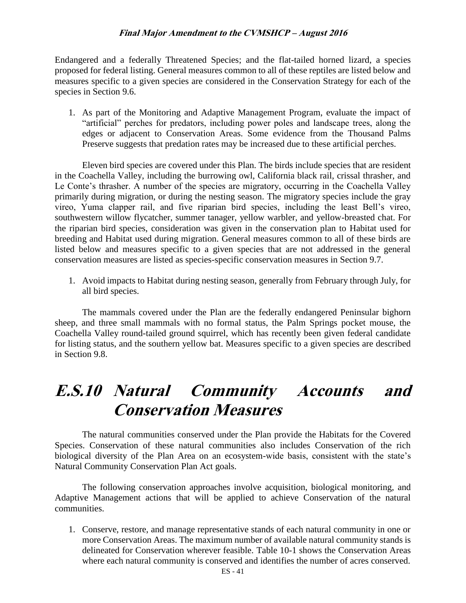Endangered and a federally Threatened Species; and the flat-tailed horned lizard, a species proposed for federal listing. General measures common to all of these reptiles are listed below and measures specific to a given species are considered in the Conservation Strategy for each of the species in Section 9.6.

1. As part of the Monitoring and Adaptive Management Program, evaluate the impact of "artificial" perches for predators, including power poles and landscape trees, along the edges or adjacent to Conservation Areas. Some evidence from the Thousand Palms Preserve suggests that predation rates may be increased due to these artificial perches.

Eleven bird species are covered under this Plan. The birds include species that are resident in the Coachella Valley, including the burrowing owl, California black rail, crissal thrasher, and Le Conte's thrasher. A number of the species are migratory, occurring in the Coachella Valley primarily during migration, or during the nesting season. The migratory species include the gray vireo, Yuma clapper rail, and five riparian bird species, including the least Bell's vireo, southwestern willow flycatcher, summer tanager, yellow warbler, and yellow-breasted chat. For the riparian bird species, consideration was given in the conservation plan to Habitat used for breeding and Habitat used during migration. General measures common to all of these birds are listed below and measures specific to a given species that are not addressed in the general conservation measures are listed as species-specific conservation measures in Section 9.7.

1. Avoid impacts to Habitat during nesting season, generally from February through July, for all bird species.

The mammals covered under the Plan are the federally endangered Peninsular bighorn sheep, and three small mammals with no formal status, the Palm Springs pocket mouse, the Coachella Valley round-tailed ground squirrel, which has recently been given federal candidate for listing status, and the southern yellow bat. Measures specific to a given species are described in Section 9.8.

## **E.S.10 Natural Community Accounts and Conservation Measures**

The natural communities conserved under the Plan provide the Habitats for the Covered Species. Conservation of these natural communities also includes Conservation of the rich biological diversity of the Plan Area on an ecosystem-wide basis, consistent with the state's Natural Community Conservation Plan Act goals.

The following conservation approaches involve acquisition, biological monitoring, and Adaptive Management actions that will be applied to achieve Conservation of the natural communities.

1. Conserve, restore, and manage representative stands of each natural community in one or more Conservation Areas. The maximum number of available natural community stands is delineated for Conservation wherever feasible. Table 10-1 shows the Conservation Areas where each natural community is conserved and identifies the number of acres conserved.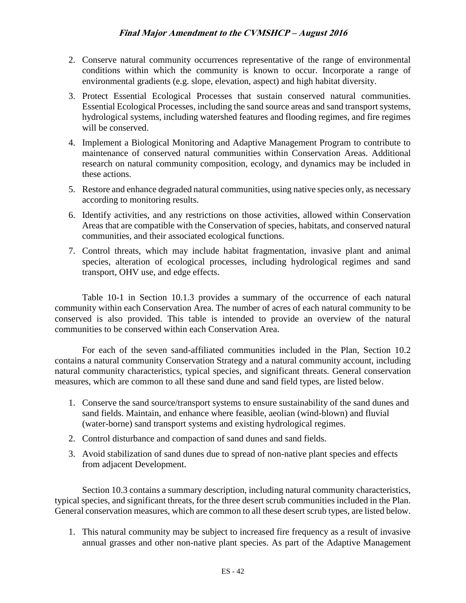- 2. Conserve natural community occurrences representative of the range of environmental conditions within which the community is known to occur. Incorporate a range of environmental gradients (e.g. slope, elevation, aspect) and high habitat diversity.
- 3. Protect Essential Ecological Processes that sustain conserved natural communities. Essential Ecological Processes, including the sand source areas and sand transport systems, hydrological systems, including watershed features and flooding regimes, and fire regimes will be conserved.
- 4. Implement a Biological Monitoring and Adaptive Management Program to contribute to maintenance of conserved natural communities within Conservation Areas. Additional research on natural community composition, ecology, and dynamics may be included in these actions.
- 5. Restore and enhance degraded natural communities, using native species only, as necessary according to monitoring results.
- 6. Identify activities, and any restrictions on those activities, allowed within Conservation Areas that are compatible with the Conservation of species, habitats, and conserved natural communities, and their associated ecological functions.
- 7. Control threats, which may include habitat fragmentation, invasive plant and animal species, alteration of ecological processes, including hydrological regimes and sand transport, OHV use, and edge effects.

Table 10-1 in Section 10.1.3 provides a summary of the occurrence of each natural community within each Conservation Area. The number of acres of each natural community to be conserved is also provided. This table is intended to provide an overview of the natural communities to be conserved within each Conservation Area.

For each of the seven sand-affiliated communities included in the Plan, Section 10.2 contains a natural community Conservation Strategy and a natural community account, including natural community characteristics, typical species, and significant threats. General conservation measures, which are common to all these sand dune and sand field types, are listed below.

- 1. Conserve the sand source/transport systems to ensure sustainability of the sand dunes and sand fields. Maintain, and enhance where feasible, aeolian (wind-blown) and fluvial (water-borne) sand transport systems and existing hydrological regimes.
- 2. Control disturbance and compaction of sand dunes and sand fields.
- 3. Avoid stabilization of sand dunes due to spread of non-native plant species and effects from adjacent Development.

Section 10.3 contains a summary description, including natural community characteristics, typical species, and significant threats, for the three desert scrub communities included in the Plan. General conservation measures, which are common to all these desert scrub types, are listed below.

1. This natural community may be subject to increased fire frequency as a result of invasive annual grasses and other non-native plant species. As part of the Adaptive Management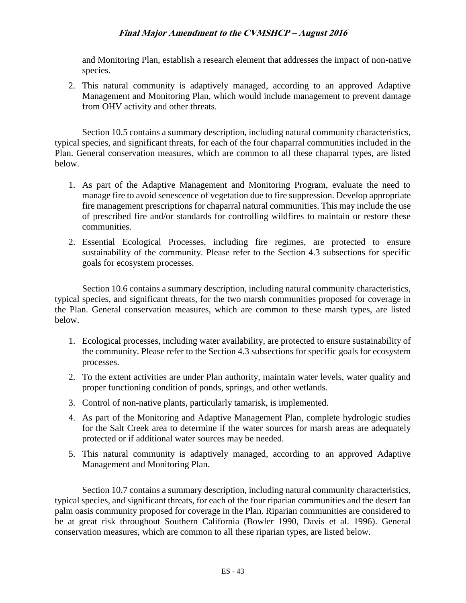and Monitoring Plan, establish a research element that addresses the impact of non-native species.

2. This natural community is adaptively managed, according to an approved Adaptive Management and Monitoring Plan, which would include management to prevent damage from OHV activity and other threats.

Section 10.5 contains a summary description, including natural community characteristics, typical species, and significant threats, for each of the four chaparral communities included in the Plan. General conservation measures, which are common to all these chaparral types, are listed below.

- 1. As part of the Adaptive Management and Monitoring Program, evaluate the need to manage fire to avoid senescence of vegetation due to fire suppression. Develop appropriate fire management prescriptions for chaparral natural communities. This may include the use of prescribed fire and/or standards for controlling wildfires to maintain or restore these communities.
- 2. Essential Ecological Processes, including fire regimes, are protected to ensure sustainability of the community. Please refer to the Section 4.3 subsections for specific goals for ecosystem processes*.*

Section 10.6 contains a summary description, including natural community characteristics, typical species, and significant threats, for the two marsh communities proposed for coverage in the Plan. General conservation measures, which are common to these marsh types, are listed below.

- 1. Ecological processes, including water availability, are protected to ensure sustainability of the community. Please refer to the Section 4.3 subsections for specific goals for ecosystem processes.
- 2. To the extent activities are under Plan authority, maintain water levels, water quality and proper functioning condition of ponds, springs, and other wetlands.
- 3. Control of non-native plants, particularly tamarisk, is implemented.
- 4. As part of the Monitoring and Adaptive Management Plan, complete hydrologic studies for the Salt Creek area to determine if the water sources for marsh areas are adequately protected or if additional water sources may be needed.
- 5. This natural community is adaptively managed, according to an approved Adaptive Management and Monitoring Plan.

Section 10.7 contains a summary description, including natural community characteristics, typical species, and significant threats, for each of the four riparian communities and the desert fan palm oasis community proposed for coverage in the Plan. Riparian communities are considered to be at great risk throughout Southern California (Bowler 1990, Davis et al. 1996). General conservation measures, which are common to all these riparian types, are listed below.